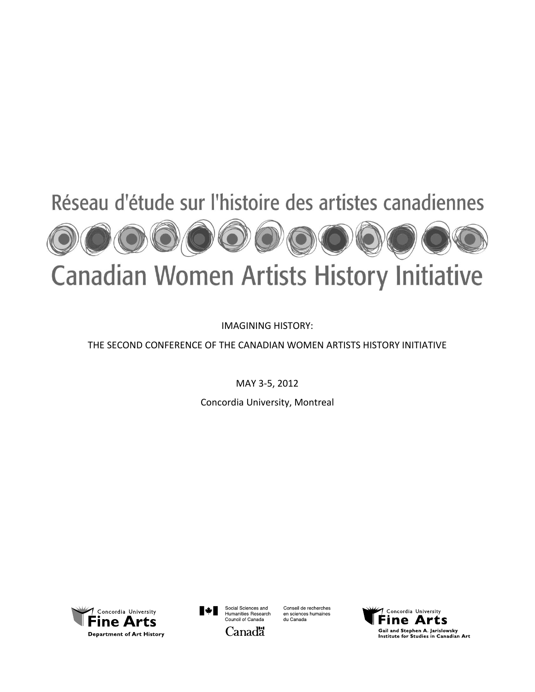

# **Canadian Women Artists History Initiative**

IMAGINING HISTORY:

## THE SECOND CONFERENCE OF THE CANADIAN WOMEN ARTISTS HISTORY INITIATIVE

MAY 3-5, 2012

Concordia University, Montreal





Conseil de recherches en sciences humaines du Canada

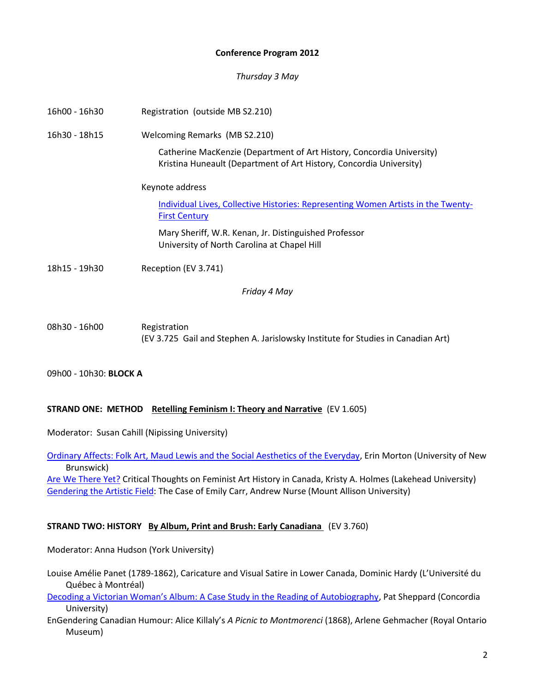## **Conference Program 2012**

*Thursday 3 May* 

| Registration (outside MB S2.210)                                                                                                             |
|----------------------------------------------------------------------------------------------------------------------------------------------|
| Welcoming Remarks (MB S2.210)                                                                                                                |
| Catherine MacKenzie (Department of Art History, Concordia University)<br>Kristina Huneault (Department of Art History, Concordia University) |
| Keynote address                                                                                                                              |
| Individual Lives, Collective Histories: Representing Women Artists in the Twenty-<br><b>First Century</b>                                    |
| Mary Sheriff, W.R. Kenan, Jr. Distinguished Professor<br>University of North Carolina at Chapel Hill                                         |
| Reception (EV 3.741)                                                                                                                         |
| Friday 4 May                                                                                                                                 |
|                                                                                                                                              |

08h30 - 16h00 Registration (EV 3.725 Gail and Stephen A. Jarislowsky Institute for Studies in Canadian Art)

09h00 - 10h30: **BLOCK A**

## **STRAND ONE: METHOD** Retelling Feminism I: Theory and Narrative (EV 1.605)

Moderator: Susan Cahill (Nipissing University)

[Ordinary Affects: Folk Art, Maud Lewis and the Social Aesthetics of the Everyday,](http://www.youtube.com/embed/qnN2YgtlwDA) Erin Morton (University of New Brunswick)

[Are We There Yet?](http://www.youtube.com/embed/NJKEtmKlGSI) Critical Thoughts on Feminist Art History in Canada, Kristy A. Holmes (Lakehead University) [Gendering the Artistic Field:](http://www.youtube.com/embed/2XatiLMYxKY) The Case of Emily Carr, Andrew Nurse (Mount Allison University)

## **STRAND TWO: HISTORY By Album, Print and Brush: Early Canadiana** (EV 3.760)

Moderator: Anna Hudson (York University)

Louise Amélie Panet (1789-1862), Caricature and Visual Satire in Lower Canada, Dominic Hardy (L'Université du Québec à Montréal)

[Decoding a Victorian Woman's Album: A Case Study in the Reading of Autobiography](http://www.youtube.com/embed/UH0Z3oU2WQ8), Pat Sheppard (Concordia University)

EnGendering Canadian Humour: Alice Killaly's *A Picnic to Montmorenci* (1868), Arlene Gehmacher (Royal Ontario Museum)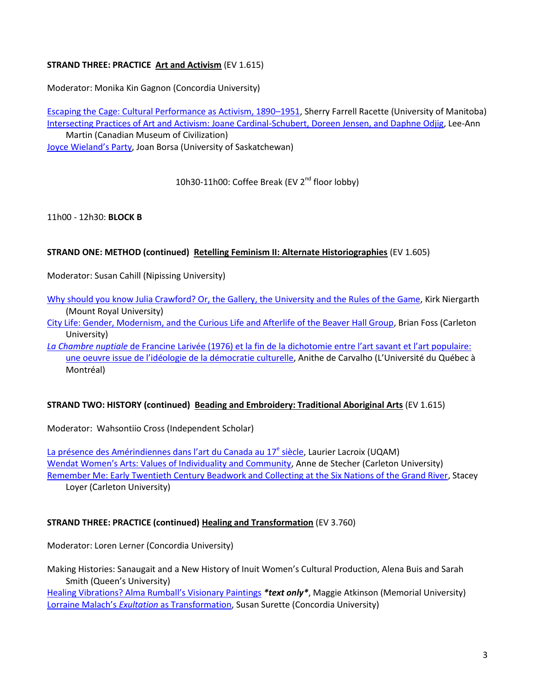## **STRAND THREE: PRACTICE Art and Activism** (EV 1.615)

Moderator: Monika Kin Gagnon (Concordia University)

[Escaping the Cage: Cultural Performance as Activism, 1890](http://www.youtube.com/embed/9vaBjcT9ijs)–1951, Sherry Farrell Racette (University of Manitoba) [Intersecting Practices of Art and Activism: Joane Cardinal-Schubert, Doreen Jensen, and Daphne Odjig,](http://www.youtube.com/embed/7WUhLzyltyQ) Lee-Ann Martin (Canadian Museum of Civilization) [Joyce Wieland's Party](http://www.youtube.com/embed/lDUwd6GTugE), Joan Borsa (University of Saskatchewan)

10h30-11h00: Coffee Break (EV 2<sup>nd</sup> floor lobby)

11h00 - 12h30: **BLOCK B**

## **STRAND ONE: METHOD (continued) Retelling Feminism II: Alternate Historiographies** (EV 1.605)

Moderator: Susan Cahill (Nipissing University)

- [Why should you know Julia Crawford? Or, the Gallery, the University and the Rules of the Game,](http://www.youtube.com/embed/tNnBfbvulII) Kirk Niergarth (Mount Royal University)
- [City Life: Gender, Modernism, and the Curious Life and Afterlife of the Beaver Hall Group,](http://www.youtube.com/embed/7fJ9jZiXTOc) Brian Foss (Carleton University)
- *La Chambre nuptiale* [de Francine Larivée \(1976\) et la fin de la dichotomie entre l'art savant et l'art populaire:](http://www.youtube.com/embed/PVIAGCbxlxY)  [une oeuvre issue de l'idéologie de la démocratie culturelle,](http://www.youtube.com/embed/PVIAGCbxlxY) Anithe de Carvalho (L'Université du Québec à Montréal)

## **STRAND TWO: HISTORY (continued) Beading and Embroidery: Traditional Aboriginal Arts** (EV 1.615)

Moderator: Wahsontiio Cross (Independent Scholar)

La présence [des Amérindiennes dans l'art du Canada au 17](http://www.youtube.com/embed/ZtuZfSSQAlQ)<sup>e</sup> siècle, Laurier Lacroix (UQAM) [Wendat Women's Arts: Values of Individuality and Community](http://www.youtube.com/embed/yaEWEO2gCnI), Anne de Stecher (Carleton University) [Remember Me: Early Twentieth Century Beadwork and Collecting at the Six Nations of the Grand River,](http://www.youtube.com/embed/9MLDMCK1bK8) Stacey Loyer (Carleton University)

## **STRAND THREE: PRACTICE (continued) Healing and Transformation** (EV 3.760)

Moderator: Loren Lerner (Concordia University)

Making Histories: Sanaugait and a New History of Inuit Women's Cultural Production, Alena Buis and Sarah Smith (Queen's University)

[Healing Vibrations? Alma Rumball's Visionary Paintings](http://cwahi.concordia.ca/sources/resources/Maggie_Atkinson.pdf) *\*text only\**, Maggie Atkinson (Memorial University) Lorraine Malach's *Exultation* [as Transformation,](http://www.youtube.com/embed/Ypd_gHoke3M) Susan Surette (Concordia University)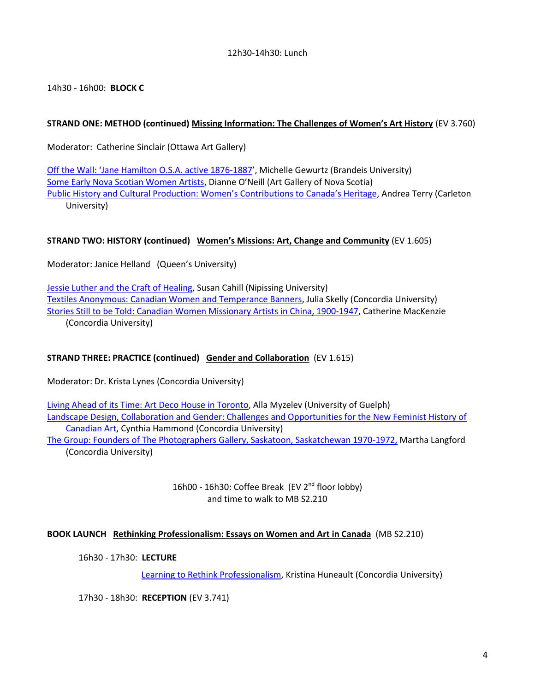## 12h30-14h30: Lunch

14h30 - 16h00: **BLOCK C**

## **STRAND ONE: METHOD (continued) Missing Information: The Challenges of Women's Art History** (EV 3.760)

Moderator: Catherine Sinclair (Ottawa Art Gallery)

[Off the Wall: 'Jane Hamilton O.S.A. active 1876](http://www.youtube.com/embed/_Gwi0xaeA5Q)-1887', Michelle Gewurtz (Brandeis University) [Some Early Nova Scotian Women Artists](http://www.youtube.com/embed/6cHlrlY_uro), Dianne O'Neill (Art Gallery of Nova Scotia) [Public History and Cultural Production: Women's Contributions to Canada's Heritage](http://www.youtube.com/embed/FsG-afC4RFQ), Andrea Terry (Carleton University)

## **STRAND TWO: HISTORY (continued) Women's Missions: Art, Change and Community** (EV 1.605)

Moderator: Janice Helland (Queen's University)

[Jessie Luther and the Craft of Healing,](http://www.youtube.com/embed/gBew__WiDto) Susan Cahill (Nipissing University) [Textiles Anonymous: Canadian Women and Temperance Banners,](http://www.youtube.com/embed/SqrkILRVIvM) Julia Skelly (Concordia University) [Stories Still to be Told: Canadian Women Missionary Artists in China, 1900-1947,](http://www.youtube.com/embed/gxj6mbgDj4k) Catherine MacKenzie (Concordia University)

## **STRAND THREE: PRACTICE (continued) Gender and Collaboration** (EV 1.615)

Moderator: Dr. Krista Lynes (Concordia University)

[Living Ahead of its Time: Art Deco House in Toronto,](http://www.youtube.com/embed/O6Hy7I2N7B0) Alla Myzelev (University of Guelph) [Landscape Design, Collaboration and Gender: Challenges and Opportunities for the New Feminist History of](http://www.youtube.com/embed/LUtDtMF5xUI)  [Canadian Art,](http://www.youtube.com/embed/LUtDtMF5xUI) Cynthia Hammond (Concordia University)

[The Group: Founders of The Photographers Gallery, Saskatoon, Saskatchewan 1970-1972,](http://www.youtube.com/embed/7G6j8e9VIn8) Martha Langford (Concordia University)

> 16h00 - 16h30: Coffee Break (EV 2<sup>nd</sup> floor lobby) and time to walk to MB S2.210

## **BOOK LAUNCH Rethinking Professionalism: Essays on Women and Art in Canada** (MB S2.210)

16h30 - 17h30: **LECTURE**

[Learning to Rethink Professionalism,](http://www.youtube.com/embed/CJ3AuZcRqs4) Kristina Huneault (Concordia University)

17h30 - 18h30: **RECEPTION** (EV 3.741)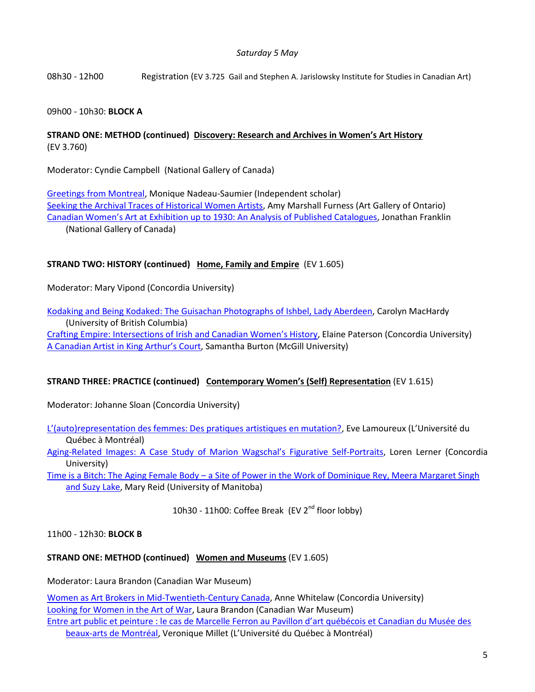## *Saturday 5 May*

08h30 - 12h00 Registration (EV 3.725 Gail and Stephen A. Jarislowsky Institute for Studies in Canadian Art)

## 09h00 - 10h30: **BLOCK A**

## **STRAND ONE: METHOD (continued) Discovery: Research and Archives in Women's Art History** (EV 3.760)

Moderator: Cyndie Campbell (National Gallery of Canada)

[Greetings from Montreal,](http://www.youtube.com/embed/CKqF5ySOz34) Monique Nadeau-Saumier (Independent scholar) [Seeking the Archival Traces of Historical Women Artists,](http://www.youtube.com/embed/Wn3mn9wCiiI) Amy Marshall Furness (Art Gallery of Ontario) Canadian Women's Art at [Exhibition up to 1930: An Analysis of Published Catalogues,](http://www.youtube.com/embed/x3J4FISEINg) Jonathan Franklin (National Gallery of Canada)

## **STRAND TWO: HISTORY (continued) Home, Family and Empire** (EV 1.605)

Moderator: Mary Vipond (Concordia University)

[Kodaking and Being Kodaked: The Guisachan Photographs of Ishbel, Lady Aberdeen,](http://www.youtube.com/embed/STT4Xl_CwnM) Carolyn MacHardy (University of British Columbia) [Crafting Empire: Intersections of Irish](http://www.youtube.com/embed/D6zKvOSKPU8) and Canadian Women's History, Elaine Paterson (Concordia University) [A Canadian Artist in King Arthur's Court](http://www.youtube.com/embed/kGOTPXKWgLA), Samantha Burton (McGill University)

#### **STRAND THREE: PRACTICE (continued) Contemporary Women's (Self) Representation** (EV 1.615)

Moderator: Johanne Sloan (Concordia University)

[L'\(auto\)representation des femmes: Des pratiques artistiques en mutation?,](http://www.youtube.com/embed/FFaymeaAWsc) Eve Lamoureux (L'Université du Québec à Montréal)

Aging-Related Images[: A Case Study of Marion Wagschal's Figurative Self](http://www.youtube.com/embed/eLEr--pBdww)-Portraits, Loren Lerner (Concordia University)

Time is a Bitch: The Aging Female Body – [a Site of Power in the Work of Dominique Rey, Meera Margaret Singh](http://www.youtube.com/embed/fL6QOWq95M8)  [and Suzy Lake,](http://www.youtube.com/embed/fL6QOWq95M8) Mary Reid (University of Manitoba)

10h30 - 11h00: Coffee Break (EV 2<sup>nd</sup> floor lobby)

11h00 - 12h30: **BLOCK B**

## **STRAND ONE: METHOD (continued) Women and Museums** (EV 1.605)

Moderator: Laura Brandon (Canadian War Museum)

[Women as Art Brokers in Mid-Twentieth-Century Canada,](http://www.youtube.com/embed/YXPYIuLqUFU) Anne Whitelaw (Concordia University) [Looking for Women in the Art of War,](http://www.youtube.com/embed/jMhqgTNxDUA) Laura Brandon (Canadian War Museum) [Entre art public et peinture : le cas de Marcelle Ferron au Pavillon d'](http://www.youtube.com/embed/qzHSCQiyHuU)art québécois et Canadian du Musée des [beaux-arts de Montréal](http://www.youtube.com/embed/qzHSCQiyHuU), Veronique Millet (L'Université du Québec à Montréal)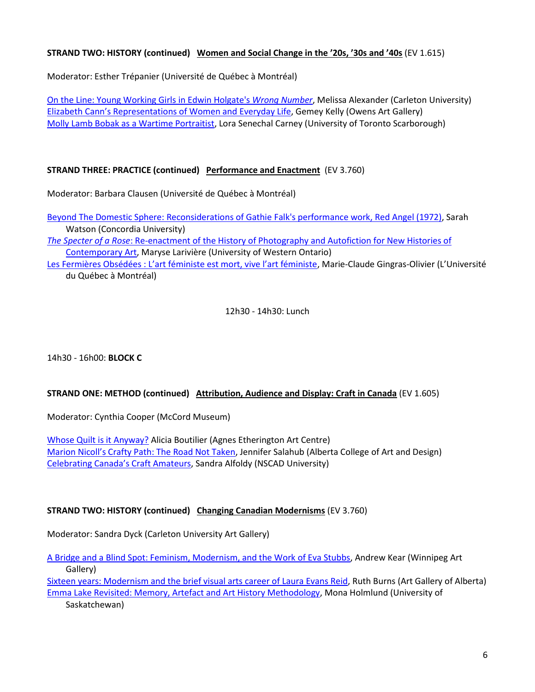## **STRAND TWO: HISTORY (continued) Women and Social Change in the '20s, '30s and '40s** (EV 1.615)

Moderator: Esther Trépanier (Université de Québec à Montréal)

[On the Line: Young Working Girls in Edwin Holgate's](http://www.youtube.com/embed/6YDUGbCEA8Q) *Wrong Number*, Melissa Alexander (Carleton University) Elizabeth [Cann's Representations of Women and Everyday Life](http://www.youtube.com/embed/rjP0oLs_I-0), Gemey Kelly (Owens Art Gallery) [Molly Lamb Bobak as a Wartime Portraitist,](http://www.youtube.com/embed/BnCQ0BY-RfM) Lora Senechal Carney (University of Toronto Scarborough)

## **STRAND THREE: PRACTICE (continued) Performance and Enactment** (EV 3.760)

Moderator: Barbara Clausen (Université de Québec à Montréal)

[Beyond The Domestic Sphere: Reconsiderations of Gathie](http://www.youtube.com/embed/CRwnnG9MuLQ) Falk's performance work, Red Angel (1972), Sarah Watson (Concordia University)

*The Specter of a Rose*[: Re-enactment of the History of Photography and Autofiction for New Histories of](http://www.youtube.com/embed/5N48f8_UNUM)  [Contemporary Art,](http://www.youtube.com/embed/5N48f8_UNUM) Maryse Larivière (University of Western Ontario)

[Les Fermières Obsédées : L'art féministe est mort, vive l'art féministe](http://www.youtube.com/embed/ZVWi-lgDzGs), Marie-Claude Gingras-Olivier (L'Université du Québec à Montréal)

## 12h30 - 14h30: Lunch

14h30 - 16h00: **BLOCK C**

## **STRAND ONE: METHOD (continued) Attribution, Audience and Display: Craft in Canada** (EV 1.605)

Moderator: Cynthia Cooper (McCord Museum)

[Whose Quilt is it Anyway?](http://www.youtube.com/embed/-5PVznidUKg) Alicia Boutilier (Agnes Etherington Art Centre) [Marion Nicoll's Crafty Path: The Road Not Taken](http://www.youtube.com/embed/nqHWeH1RI00), Jennifer Salahub (Alberta College of Art and Design) [Celebrating Canada's Craft Amateurs](http://www.youtube.com/embed/Jtd5StRML08), Sandra Alfoldy (NSCAD University)

## **STRAND TWO: HISTORY (continued) Changing Canadian Modernisms** (EV 3.760)

Moderator: Sandra Dyck (Carleton University Art Gallery)

[A Bridge and a Blind Spot: Feminism, Modernism, and the Work of Eva Stubbs,](http://www.youtube.com/embed/LFlBAV2R9k0) Andrew Kear (Winnipeg Art Gallery)

Sixteen years: Modernism [and the brief visual arts career of Laura Evans Reid,](http://www.youtube.com/embed/2o2czhYUFk4) Ruth Burns (Art Gallery of Alberta) [Emma Lake Revisited: Memory, Artefact and Art History Methodology,](http://www.youtube.com/embed/vQO1CfSRhr8) Mona Holmlund (University of Saskatchewan)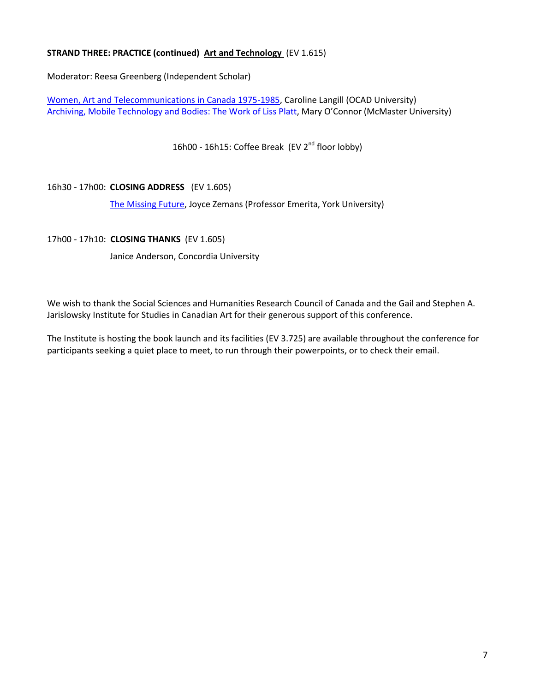## **STRAND THREE: PRACTICE (continued) Art and Technology** (EV 1.615)

Moderator: Reesa Greenberg (Independent Scholar)

[Women, Art and Telecommunications in Canada 1975-1985,](http://www.youtube.com/embed/nHXVHCBcLug) Caroline Langill (OCAD University) [Archiving, Mobile Technology and Bodies: The Work of Liss Platt](http://www.youtube.com/embed/HhFEOQCAtb4), Mary O'Connor (McMaster University)

16h00 - 16h15: Coffee Break (EV 2<sup>nd</sup> floor lobby)

## 16h30 - 17h00: **CLOSING ADDRESS** (EV 1.605)

[The Missing Future,](http://www.youtube.com/embed/4Q75fcDrlgk) Joyce Zemans (Professor Emerita, York University)

#### 17h00 - 17h10: **CLOSING THANKS** (EV 1.605)

Janice Anderson, Concordia University

We wish to thank the Social Sciences and Humanities Research Council of Canada and the Gail and Stephen A. Jarislowsky Institute for Studies in Canadian Art for their generous support of this conference.

The Institute is hosting the book launch and its facilities (EV 3.725) are available throughout the conference for participants seeking a quiet place to meet, to run through their powerpoints, or to check their email.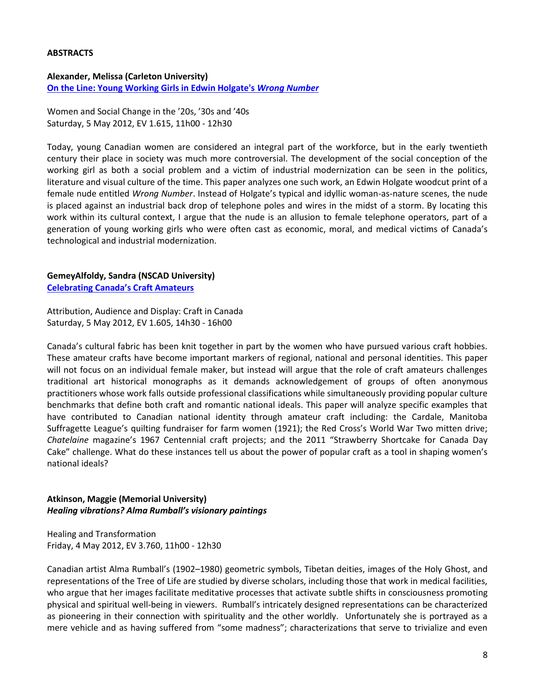#### **ABSTRACTS**

**Alexander, Melissa (Carleton University) [On the Line: Young Working Girls in Edwin Holgate's](http://www.youtube.com/embed/6YDUGbCEA8Q)** *Wrong Number*

Women and Social Change in the '20s, '30s and '40s Saturday, 5 May 2012, EV 1.615, 11h00 - 12h30

Today, young Canadian women are considered an integral part of the workforce, but in the early twentieth century their place in society was much more controversial. The development of the social conception of the working girl as both a social problem and a victim of industrial modernization can be seen in the politics, literature and visual culture of the time. This paper analyzes one such work, an Edwin Holgate woodcut print of a female nude entitled *Wrong Number*. Instead of Holgate's typical and idyllic woman-as-nature scenes, the nude is placed against an industrial back drop of telephone poles and wires in the midst of a storm. By locating this work within its cultural context, I argue that the nude is an allusion to female telephone operators, part of a generation of young working girls who were often cast as economic, moral, and medical victims of Canada's technological and industrial modernization.

## **GemeyAlfoldy, Sandra (NSCAD University)**

**[Celebrating Canada's Craft Amateurs](http://www.youtube.com/embed/Jtd5StRML08)**

Attribution, Audience and Display: Craft in Canada Saturday, 5 May 2012, EV 1.605, 14h30 - 16h00

Canada's cultural fabric has been knit together in part by the women who have pursued various craft hobbies. These amateur crafts have become important markers of regional, national and personal identities. This paper will not focus on an individual female maker, but instead will argue that the role of craft amateurs challenges traditional art historical monographs as it demands acknowledgement of groups of often anonymous practitioners whose work falls outside professional classifications while simultaneously providing popular culture benchmarks that define both craft and romantic national ideals. This paper will analyze specific examples that have contributed to Canadian national identity through amateur craft including: the Cardale, Manitoba Suffragette League's quilting fundraiser for farm women (1921); the Red Cross's World War Two mitten drive; *Chatelaine* magazine's 1967 Centennial craft projects; and the 2011 "Strawberry Shortcake for Canada Day Cake" challenge. What do these instances tell us about the power of popular craft as a tool in shaping women's national ideals?

## **Atkinson, Maggie (Memorial University)** *Healing vibrations? Alma Rumball's visionary paintings*

Healing and Transformation Friday, 4 May 2012, EV 3.760, 11h00 - 12h30

Canadian artist Alma Rumball's (1902–1980) geometric symbols, Tibetan deities, images of the Holy Ghost, and representations of the Tree of Life are studied by diverse scholars, including those that work in medical facilities, who argue that her images facilitate meditative processes that activate subtle shifts in consciousness promoting physical and spiritual well-being in viewers. Rumball's intricately designed representations can be characterized as pioneering in their connection with spirituality and the other worldly. Unfortunately she is portrayed as a mere vehicle and as having suffered from "some madness"; characterizations that serve to trivialize and even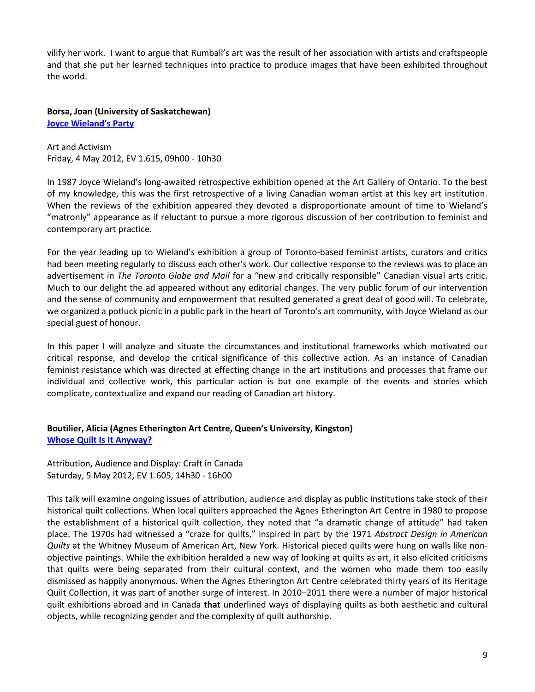vilify her work. I want to argue that Rumball's art was the result of her association with artists and craftspeople and that she put her learned techniques into practice to produce images that have been exhibited throughout the world.

**Borsa, Joan (University of Saskatchewan) [Joyce Wieland's Party](http://www.youtube.com/embed/lDUwd6GTugE)**

Art and Activism Friday, 4 May 2012, EV 1.615, 09h00 - 10h30

In 1987 Joyce Wieland's long-awaited retrospective exhibition opened at the Art Gallery of Ontario. To the best of my knowledge, this was the first retrospective of a living Canadian woman artist at this key art institution. When the reviews of the exhibition appeared they devoted a disproportionate amount of time to Wieland's "matronly" appearance as if reluctant to pursue a more rigorous discussion of her contribution to feminist and contemporary art practice.

For the year leading up to Wieland's exhibition a group of Toronto-based feminist artists, curators and critics had been meeting regularly to discuss each other's work. Our collective response to the reviews was to place an advertisement in *The Toronto Globe and Mail* for a "new and critically responsible" Canadian visual arts critic. Much to our delight the ad appeared without any editorial changes. The very public forum of our intervention and the sense of community and empowerment that resulted generated a great deal of good will. To celebrate, we organized a potluck picnic in a public park in the heart of Toronto's art community, with Joyce Wieland as our special guest of honour.

In this paper I will analyze and situate the circumstances and institutional frameworks which motivated our critical response, and develop the critical significance of this collective action. As an instance of Canadian feminist resistance which was directed at effecting change in the art institutions and processes that frame our individual and collective work, this particular action is but one example of the events and stories which complicate, contextualize and expand our reading of Canadian art history.

## **Boutilier, Alicia (Agnes Etherington Art Centre, Queen's University, Kingston) [Whose Quilt Is It Anyway?](http://www.youtube.com/embed/-5PVznidUKg)**

Attribution, Audience and Display: Craft in Canada Saturday, 5 May 2012, EV 1.605, 14h30 - 16h00

This talk will examine ongoing issues of attribution, audience and display as public institutions take stock of their historical quilt collections. When local quilters approached the Agnes Etherington Art Centre in 1980 to propose the establishment of a historical quilt collection, they noted that "a dramatic change of attitude" had taken place. The 1970s had witnessed a "craze for quilts," inspired in part by the 1971 *Abstract Design in American Quilts* at the Whitney Museum of American Art, New York. Historical pieced quilts were hung on walls like nonobjective paintings. While the exhibition heralded a new way of looking at quilts as art, it also elicited criticisms that quilts were being separated from their cultural context, and the women who made them too easily dismissed as happily anonymous. When the Agnes Etherington Art Centre celebrated thirty years of its Heritage Quilt Collection, it was part of another surge of interest. In 2010–2011 there were a number of major historical quilt exhibitions abroad and in Canada **that** underlined ways of displaying quilts as both aesthetic and cultural objects, while recognizing gender and the complexity of quilt authorship.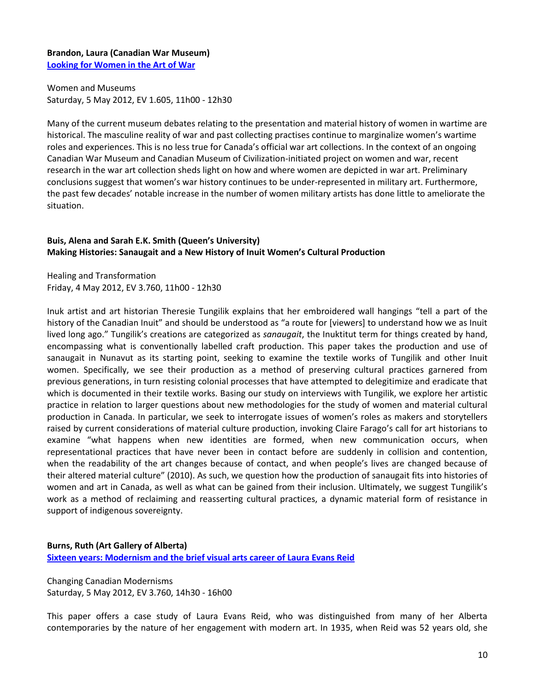## **Brandon, Laura (Canadian War Museum) [Looking for Women in the Art of War](http://www.youtube.com/embed/jMhqgTNxDUA)**

Women and Museums Saturday, 5 May 2012, EV 1.605, 11h00 - 12h30

Many of the current museum debates relating to the presentation and material history of women in wartime are historical. The masculine reality of war and past collecting practises continue to marginalize women's wartime roles and experiences. This is no less true for Canada's official war art collections. In the context of an ongoing Canadian War Museum and Canadian Museum of Civilization-initiated project on women and war, recent research in the war art collection sheds light on how and where women are depicted in war art. Preliminary conclusions suggest that women's war history continues to be under-represented in military art. Furthermore, the past few decades' notable increase in the number of women military artists has done little to ameliorate the situation.

## **Buis, Alena and Sarah E.K. Smith (Queen's University) Making Histories: Sanaugait and a New History of Inuit Women's Cultural Production**

Healing and Transformation Friday, 4 May 2012, EV 3.760, 11h00 - 12h30

Inuk artist and art historian Theresie Tungilik explains that her embroidered wall hangings "tell a part of the history of the Canadian Inuit" and should be understood as "a route for [viewers] to understand how we as Inuit lived long ago." Tungilik's creations are categorized as *sanaugait*, the Inuktitut term for things created by hand, encompassing what is conventionally labelled craft production. This paper takes the production and use of sanaugait in Nunavut as its starting point, seeking to examine the textile works of Tungilik and other Inuit women. Specifically, we see their production as a method of preserving cultural practices garnered from previous generations, in turn resisting colonial processes that have attempted to delegitimize and eradicate that which is documented in their textile works. Basing our study on interviews with Tungilik, we explore her artistic practice in relation to larger questions about new methodologies for the study of women and material cultural production in Canada. In particular, we seek to interrogate issues of women's roles as makers and storytellers raised by current considerations of material culture production, invoking Claire Farago's call for art historians to examine "what happens when new identities are formed, when new communication occurs, when representational practices that have never been in contact before are suddenly in collision and contention, when the readability of the art changes because of contact, and when people's lives are changed because of their altered material culture" (2010). As such, we question how the production of sanaugait fits into histories of women and art in Canada, as well as what can be gained from their inclusion. Ultimately, we suggest Tungilik's work as a method of reclaiming and reasserting cultural practices, a dynamic material form of resistance in support of indigenous sovereignty.

## **Burns, Ruth (Art Gallery of Alberta)**

**[Sixteen years: Modernism and the brief visual arts career of Laura Evans Reid](http://www.youtube.com/embed/2o2czhYUFk4)**

Changing Canadian Modernisms Saturday, 5 May 2012, EV 3.760, 14h30 - 16h00

This paper offers a case study of Laura Evans Reid, who was distinguished from many of her Alberta contemporaries by the nature of her engagement with modern art. In 1935, when Reid was 52 years old, she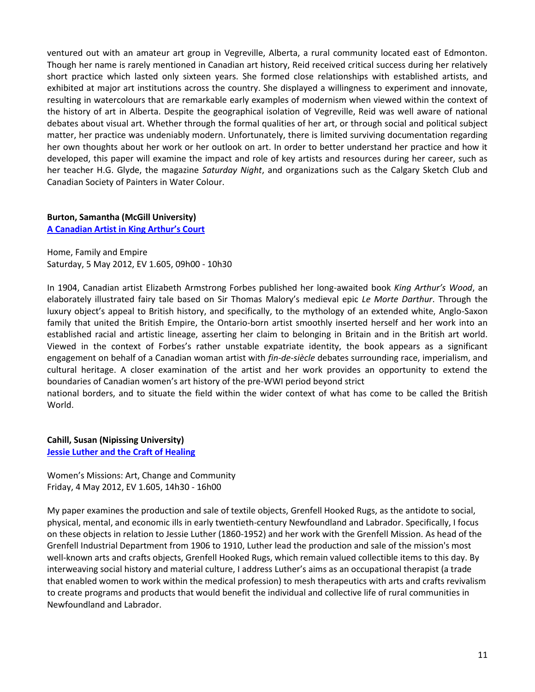ventured out with an amateur art group in Vegreville, Alberta, a rural community located east of Edmonton. Though her name is rarely mentioned in Canadian art history, Reid received critical success during her relatively short practice which lasted only sixteen years. She formed close relationships with established artists, and exhibited at major art institutions across the country. She displayed a willingness to experiment and innovate, resulting in watercolours that are remarkable early examples of modernism when viewed within the context of the history of art in Alberta. Despite the geographical isolation of Vegreville, Reid was well aware of national debates about visual art. Whether through the formal qualities of her art, or through social and political subject matter, her practice was undeniably modern. Unfortunately, there is limited surviving documentation regarding her own thoughts about her work or her outlook on art. In order to better understand her practice and how it developed, this paper will examine the impact and role of key artists and resources during her career, such as her teacher H.G. Glyde, the magazine *Saturday Night*, and organizations such as the Calgary Sketch Club and Canadian Society of Painters in Water Colour.

## **Burton, Samantha (McGill University)**

**[A Canadian Artist in King Arthur's Court](http://www.youtube.com/embed/kGOTPXKWgLA)**

Home, Family and Empire Saturday, 5 May 2012, EV 1.605, 09h00 - 10h30

In 1904, Canadian artist Elizabeth Armstrong Forbes published her long-awaited book *King Arthur's Wood*, an elaborately illustrated fairy tale based on Sir Thomas Malory's medieval epic *Le Morte Darthur*. Through the luxury object's appeal to British history, and specifically, to the mythology of an extended white, Anglo-Saxon family that united the British Empire, the Ontario-born artist smoothly inserted herself and her work into an established racial and artistic lineage, asserting her claim to belonging in Britain and in the British art world. Viewed in the context of Forbes's rather unstable expatriate identity, the book appears as a significant engagement on behalf of a Canadian woman artist with *fin-de-siècle* debates surrounding race, imperialism, and cultural heritage. A closer examination of the artist and her work provides an opportunity to extend the boundaries of Canadian women's art history of the pre-WWI period beyond strict

national borders, and to situate the field within the wider context of what has come to be called the British World.

**Cahill, Susan (Nipissing University) [Jessie Luther and the Craft of Healing](http://www.youtube.com/embed/gBew__WiDto)**

Women's Missions: Art, Change and Community Friday, 4 May 2012, EV 1.605, 14h30 - 16h00

My paper examines the production and sale of textile objects, Grenfell Hooked Rugs, as the antidote to social, physical, mental, and economic ills in early twentieth-century Newfoundland and Labrador. Specifically, I focus on these objects in relation to Jessie Luther (1860-1952) and her work with the Grenfell Mission. As head of the Grenfell Industrial Department from 1906 to 1910, Luther lead the production and sale of the mission's most well-known arts and crafts objects, Grenfell Hooked Rugs, which remain valued collectible items to this day. By interweaving social history and material culture, I address Luther's aims as an occupational therapist (a trade that enabled women to work within the medical profession) to mesh therapeutics with arts and crafts revivalism to create programs and products that would benefit the individual and collective life of rural communities in Newfoundland and Labrador.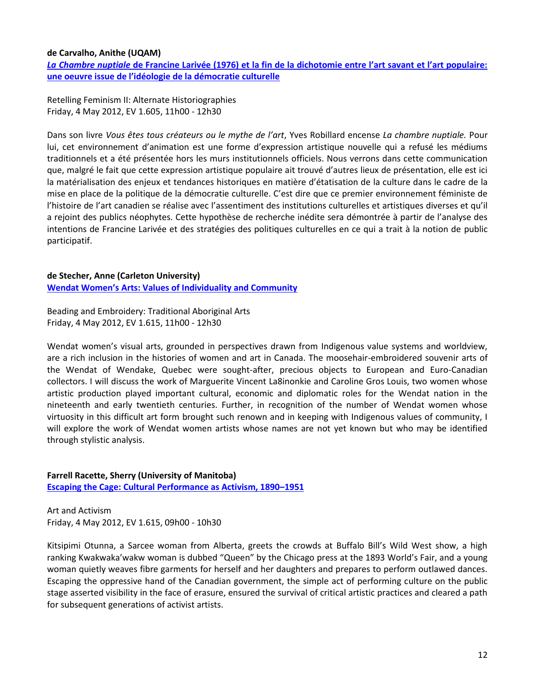## **de Carvalho, Anithe (UQAM)**

*La Chambre nuptiale* **[de Francine Larivée \(1976\) et la fin de la dichotomie entre l'art savant et l'art populaire:](http://www.youtube.com/embed/PVIAGCbxlxY)  [une oeuvre issue de l'idéologie de la démocratie culturelle](http://www.youtube.com/embed/PVIAGCbxlxY)**

Retelling Feminism II: Alternate Historiographies Friday, 4 May 2012, EV 1.605, 11h00 - 12h30

Dans son livre *Vous êtes tous créateurs ou le mythe de l'art*, Yves Robillard encense *La chambre nuptiale.* Pour lui, cet environnement d'animation est une forme d'expression artistique nouvelle qui a refusé les médiums traditionnels et a été présentée hors les murs institutionnels officiels. Nous verrons dans cette communication que, malgré le fait que cette expression artistique populaire ait trouvé d'autres lieux de présentation, elle est ici la matérialisation des enjeux et tendances historiques en matière d'étatisation de la culture dans le cadre de la mise en place de la politique de la démocratie culturelle. C'est dire que ce premier environnement féministe de l'histoire de l'art canadien se réalise avec l'assentiment des institutions culturelles et artistiques diverses et qu'il a rejoint des publics néophytes. Cette hypothèse de recherche inédite sera démontrée à partir de l'analyse des intentions de Francine Larivée et des stratégies des politiques culturelles en ce qui a trait à la notion de public participatif.

## **de Stecher, Anne (Carleton University)**

**[Wendat Women's Arts: Values of Individuality and Community](http://www.youtube.com/embed/yaEWEO2gCnI)**

Beading and Embroidery: Traditional Aboriginal Arts Friday, 4 May 2012, EV 1.615, 11h00 - 12h30

Wendat women's visual arts, grounded in perspectives drawn from Indigenous value systems and worldview, are a rich inclusion in the histories of women and art in Canada. The moosehair-embroidered souvenir arts of the Wendat of Wendake, Quebec were sought-after, precious objects to European and Euro-Canadian collectors. I will discuss the work of Marguerite Vincent La8inonkie and Caroline Gros Louis, two women whose artistic production played important cultural, economic and diplomatic roles for the Wendat nation in the nineteenth and early twentieth centuries. Further, in recognition of the number of Wendat women whose virtuosity in this difficult art form brought such renown and in keeping with Indigenous values of community, I will explore the work of Wendat women artists whose names are not yet known but who may be identified through stylistic analysis.

## **Farrell Racette, Sherry (University of Manitoba) [Escaping the Cage: Cultural Performance as Activism, 1890](http://www.youtube.com/embed/9vaBjcT9ijs)–1951**

Art and Activism Friday, 4 May 2012, EV 1.615, 09h00 - 10h30

Kitsipimi Otunna, a Sarcee woman from Alberta, greets the crowds at Buffalo Bill's Wild West show, a high ranking Kwakwaka'wakw woman is dubbed "Queen" by the Chicago press at the 1893 World's Fair, and a young woman quietly weaves fibre garments for herself and her daughters and prepares to perform outlawed dances. Escaping the oppressive hand of the Canadian government, the simple act of performing culture on the public stage asserted visibility in the face of erasure, ensured the survival of critical artistic practices and cleared a path for subsequent generations of activist artists.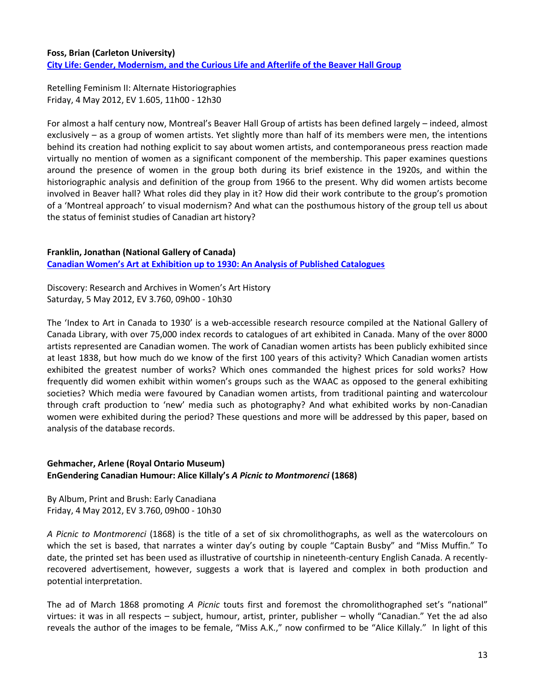## **Foss, Brian (Carleton University) [City Life: Gender, Modernism, and the Curious Life and Afterlife of the Beaver Hall Group](http://www.youtube.com/embed/7fJ9jZiXTOc)**

Retelling Feminism II: Alternate Historiographies Friday, 4 May 2012, EV 1.605, 11h00 - 12h30

For almost a half century now, Montreal's Beaver Hall Group of artists has been defined largely – indeed, almost exclusively – as a group of women artists. Yet slightly more than half of its members were men, the intentions behind its creation had nothing explicit to say about women artists, and contemporaneous press reaction made virtually no mention of women as a significant component of the membership. This paper examines questions around the presence of women in the group both during its brief existence in the 1920s, and within the historiographic analysis and definition of the group from 1966 to the present. Why did women artists become involved in Beaver hall? What roles did they play in it? How did their work contribute to the group's promotion of a 'Montreal approach' to visual modernism? And what can the posthumous history of the group tell us about the status of feminist studies of Canadian art history?

#### **Franklin, Jonathan (National Gallery of Canada) Canadian Women's Art at [Exhibition up to 1930: An Analysis of Published Catalogues](http://www.youtube.com/embed/x3J4FISEINg)**

Discovery: Research and Archives in Women's Art History Saturday, 5 May 2012, EV 3.760, 09h00 - 10h30

The 'Index to Art in Canada to 1930' is a web-accessible research resource compiled at the National Gallery of Canada Library, with over 75,000 index records to catalogues of art exhibited in Canada. Many of the over 8000 artists represented are Canadian women. The work of Canadian women artists has been publicly exhibited since at least 1838, but how much do we know of the first 100 years of this activity? Which Canadian women artists exhibited the greatest number of works? Which ones commanded the highest prices for sold works? How frequently did women exhibit within women's groups such as the WAAC as opposed to the general exhibiting societies? Which media were favoured by Canadian women artists, from traditional painting and watercolour through craft production to 'new' media such as photography? And what exhibited works by non-Canadian women were exhibited during the period? These questions and more will be addressed by this paper, based on analysis of the database records.

## **Gehmacher, Arlene (Royal Ontario Museum) EnGendering Canadian Humour: Alice Killaly's** *A Picnic to Montmorenci* **(1868)**

By Album, Print and Brush: Early Canadiana Friday, 4 May 2012, EV 3.760, 09h00 - 10h30

*A Picnic to Montmorenci* (1868) is the title of a set of six chromolithographs, as well as the watercolours on which the set is based, that narrates a winter day's outing by couple "Captain Busby" and "Miss Muffin." To date, the printed set has been used as illustrative of courtship in nineteenth-century English Canada. A recentlyrecovered advertisement, however, suggests a work that is layered and complex in both production and potential interpretation.

The ad of March 1868 promoting *A Picnic* touts first and foremost the chromolithographed set's "national" virtues: it was in all respects – subject, humour, artist, printer, publisher – wholly "Canadian." Yet the ad also reveals the author of the images to be female, "Miss A.K.," now confirmed to be "Alice Killaly." In light of this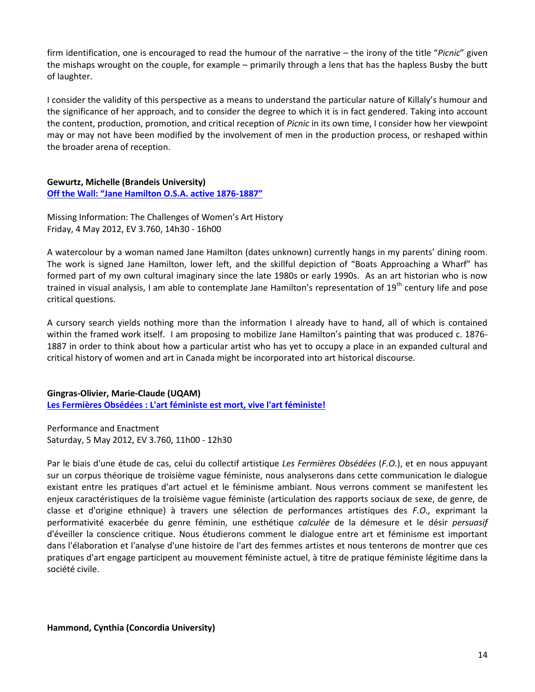firm identification, one is encouraged to read the humour of the narrative – the irony of the title "*Picnic*" given the mishaps wrought on the couple, for example – primarily through a lens that has the hapless Busby the butt of laughter.

I consider the validity of this perspective as a means to understand the particular nature of Killaly's humour and the significance of her approach, and to consider the degree to which it is in fact gendered. Taking into account the content, production, promotion, and critical reception of *Picnic* in its own time, I consider how her viewpoint may or may not have been modified by the involvement of men in the production process, or reshaped within the broader arena of reception.

#### **Gewurtz, Michelle (Brandeis University) [Off the Wall: "Jane Hamilton O.S.A. active 1876](http://www.youtube.com/embed/_Gwi0xaeA5Q)-1887"**

Missing Information: The Challenges of Women's Art History Friday, 4 May 2012, EV 3.760, 14h30 - 16h00

A watercolour by a woman named Jane Hamilton (dates unknown) currently hangs in my parents' dining room. The work is signed Jane Hamilton, lower left, and the skillful depiction of "Boats Approaching a Wharf" has formed part of my own cultural imaginary since the late 1980s or early 1990s. As an art historian who is now trained in visual analysis, I am able to contemplate Jane Hamilton's representation of 19<sup>th</sup> century life and pose critical questions.

A cursory search yields nothing more than the information I already have to hand, all of which is contained within the framed work itself. I am proposing to mobilize Jane Hamilton's painting that was produced c. 1876- 1887 in order to think about how a particular artist who has yet to occupy a place in an expanded cultural and critical history of women and art in Canada might be incorporated into art historical discourse.

**Gingras-Olivier, Marie-Claude (UQAM) [Les Fermières Obsédées : L'art féministe est mort, vive l'art féministe!](http://www.youtube.com/embed/ZVWi-lgDzGs)**

Performance and Enactment Saturday, 5 May 2012, EV 3.760, 11h00 - 12h30

Par le biais d'une étude de cas, celui du collectif artistique *Les Fermières Obsédées* (*F.O.*), et en nous appuyant sur un corpus théorique de troisième vague féministe, nous analyserons dans cette communication le dialogue existant entre les pratiques d'art actuel et le féminisme ambiant. Nous verrons comment se manifestent les enjeux caractéristiques de la troisième vague féministe (articulation des rapports sociaux de sexe, de genre, de classe et d'origine ethnique) à travers une sélection de performances artistiques des *F.O.,* exprimant la performativité exacerbée du genre féminin, une esthétique *calculée* de la démesure et le désir *persuasif*  d'éveiller la conscience critique. Nous étudierons comment le dialogue entre art et féminisme est important dans l'élaboration et l'analyse d'une histoire de l'art des femmes artistes et nous tenterons de montrer que ces pratiques d'art engage participent au mouvement féministe actuel, à titre de pratique féministe légitime dans la société civile.

**Hammond, Cynthia (Concordia University)**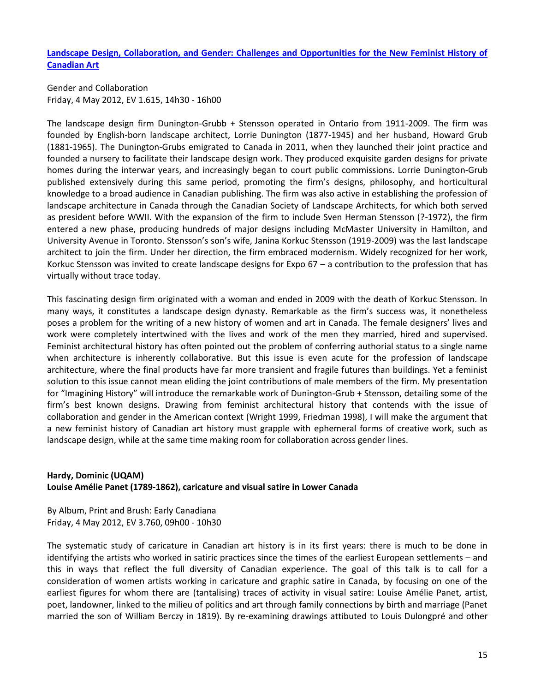**[Landscape Design, Collaboration, and Gender: Challenges and Opportunities for the New Feminist History of](http://www.youtube.com/embed/LUtDtMF5xUI)  [Canadian Art](http://www.youtube.com/embed/LUtDtMF5xUI)**

Gender and Collaboration Friday, 4 May 2012, EV 1.615, 14h30 - 16h00

The landscape design firm Dunington-Grubb + Stensson operated in Ontario from 1911-2009. The firm was founded by English-born landscape architect, Lorrie Dunington (1877-1945) and her husband, Howard Grub (1881-1965). The Dunington-Grubs emigrated to Canada in 2011, when they launched their joint practice and founded a nursery to facilitate their landscape design work. They produced exquisite garden designs for private homes during the interwar years, and increasingly began to court public commissions. Lorrie Dunington-Grub published extensively during this same period, promoting the firm's designs, philosophy, and horticultural knowledge to a broad audience in Canadian publishing. The firm was also active in establishing the profession of landscape architecture in Canada through the Canadian Society of Landscape Architects, for which both served as president before WWII. With the expansion of the firm to include Sven Herman Stensson (?-1972), the firm entered a new phase, producing hundreds of major designs including McMaster University in Hamilton, and University Avenue in Toronto. Stensson's son's wife, Janina Korkuc Stensson (1919-2009) was the last landscape architect to join the firm. Under her direction, the firm embraced modernism. Widely recognized for her work, Korkuc Stensson was invited to create landscape designs for Expo 67 – a contribution to the profession that has virtually without trace today.

This fascinating design firm originated with a woman and ended in 2009 with the death of Korkuc Stensson. In many ways, it constitutes a landscape design dynasty. Remarkable as the firm's success was, it nonetheless poses a problem for the writing of a new history of women and art in Canada. The female designers' lives and work were completely intertwined with the lives and work of the men they married, hired and supervised. Feminist architectural history has often pointed out the problem of conferring authorial status to a single name when architecture is inherently collaborative. But this issue is even acute for the profession of landscape architecture, where the final products have far more transient and fragile futures than buildings. Yet a feminist solution to this issue cannot mean eliding the joint contributions of male members of the firm. My presentation for "Imagining History" will introduce the remarkable work of Dunington-Grub + Stensson, detailing some of the firm's best known designs. Drawing from feminist architectural history that contends with the issue of collaboration and gender in the American context (Wright 1999, Friedman 1998), I will make the argument that a new feminist history of Canadian art history must grapple with ephemeral forms of creative work, such as landscape design, while at the same time making room for collaboration across gender lines.

## **Hardy, Dominic (UQAM) Louise Amélie Panet (1789-1862), caricature and visual satire in Lower Canada**

By Album, Print and Brush: Early Canadiana Friday, 4 May 2012, EV 3.760, 09h00 - 10h30

The systematic study of caricature in Canadian art history is in its first years: there is much to be done in identifying the artists who worked in satiric practices since the times of the earliest European settlements – and this in ways that reflect the full diversity of Canadian experience. The goal of this talk is to call for a consideration of women artists working in caricature and graphic satire in Canada, by focusing on one of the earliest figures for whom there are (tantalising) traces of activity in visual satire: Louise Amélie Panet, artist, poet, landowner, linked to the milieu of politics and art through family connections by birth and marriage (Panet married the son of William Berczy in 1819). By re-examining drawings attibuted to Louis Dulongpré and other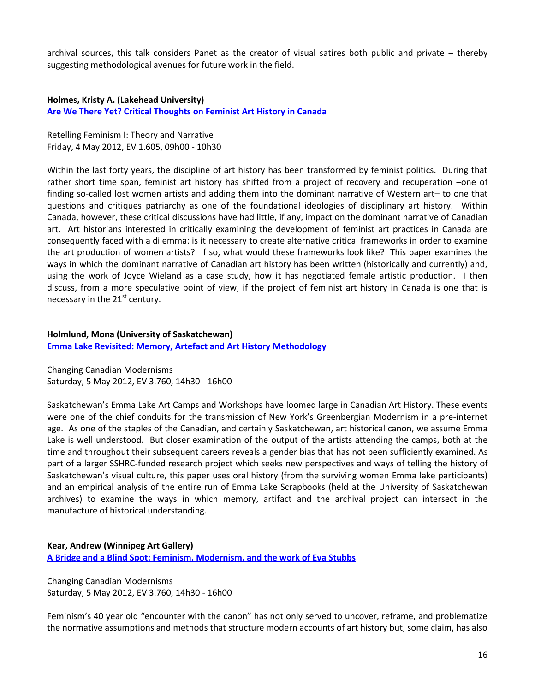archival sources, this talk considers Panet as the creator of visual satires both public and private – thereby suggesting methodological avenues for future work in the field.

**Holmes, Kristy A. (Lakehead University) [Are We There Yet? Critical Thoughts on Feminist Art History in Canada](http://www.youtube.com/embed/NJKEtmKlGSI)**

Retelling Feminism I: Theory and Narrative Friday, 4 May 2012, EV 1.605, 09h00 - 10h30

Within the last forty years, the discipline of art history has been transformed by feminist politics. During that rather short time span, feminist art history has shifted from a project of recovery and recuperation –one of finding so-called lost women artists and adding them into the dominant narrative of Western art– to one that questions and critiques patriarchy as one of the foundational ideologies of disciplinary art history. Within Canada, however, these critical discussions have had little, if any, impact on the dominant narrative of Canadian art. Art historians interested in critically examining the development of feminist art practices in Canada are consequently faced with a dilemma: is it necessary to create alternative critical frameworks in order to examine the art production of women artists? If so, what would these frameworks look like? This paper examines the ways in which the dominant narrative of Canadian art history has been written (historically and currently) and, using the work of Joyce Wieland as a case study, how it has negotiated female artistic production. I then discuss, from a more speculative point of view, if the project of feminist art history in Canada is one that is necessary in the  $21<sup>st</sup>$  century.

#### **Holmlund, Mona (University of Saskatchewan)**

**[Emma Lake Revisited: Memory, Artefact and Art History Methodology](http://www.youtube.com/embed/vQO1CfSRhr8)**

Changing Canadian Modernisms Saturday, 5 May 2012, EV 3.760, 14h30 - 16h00

Saskatchewan's Emma Lake Art Camps and Workshops have loomed large in Canadian Art History. These events were one of the chief conduits for the transmission of New York's Greenbergian Modernism in a pre-internet age. As one of the staples of the Canadian, and certainly Saskatchewan, art historical canon, we assume Emma Lake is well understood. But closer examination of the output of the artists attending the camps, both at the time and throughout their subsequent careers reveals a gender bias that has not been sufficiently examined. As part of a larger SSHRC-funded research project which seeks new perspectives and ways of telling the history of Saskatchewan's visual culture, this paper uses oral history (from the surviving women Emma lake participants) and an empirical analysis of the entire run of Emma Lake Scrapbooks (held at the University of Saskatchewan archives) to examine the ways in which memory, artifact and the archival project can intersect in the manufacture of historical understanding.

**Kear, Andrew (Winnipeg Art Gallery) [A Bridge and a Blind Spot: Feminism, Modernism, and the work of Eva Stubbs](http://www.youtube.com/embed/LFlBAV2R9k0)**

Changing Canadian Modernisms Saturday, 5 May 2012, EV 3.760, 14h30 - 16h00

Feminism's 40 year old "encounter with the canon" has not only served to uncover, reframe, and problematize the normative assumptions and methods that structure modern accounts of art history but, some claim, has also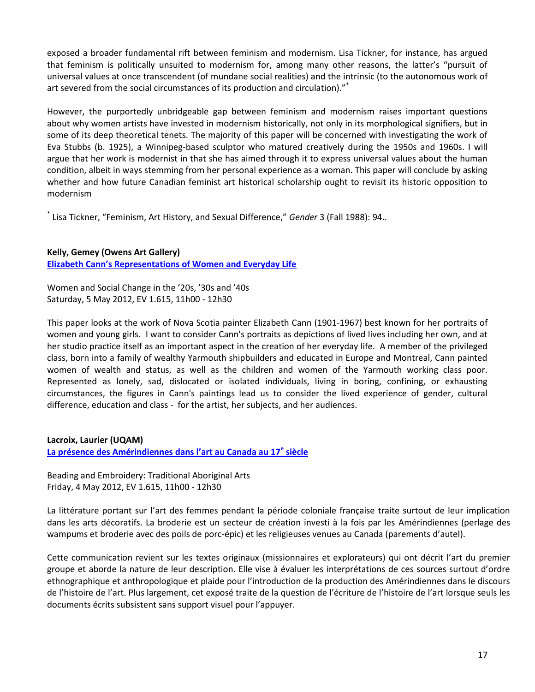exposed a broader fundamental rift between feminism and modernism. Lisa Tickner, for instance, has argued that feminism is politically unsuited to modernism for, among many other reasons, the latter's "pursuit of universal values at once transcendent (of mundane social realities) and the intrinsic (to the autonomous work of art severed from the social circumstances of its production and circulation)."\*

However, the purportedly unbridgeable gap between feminism and modernism raises important questions about why women artists have invested in modernism historically, not only in its morphological signifiers, but in some of its deep theoretical tenets. The majority of this paper will be concerned with investigating the work of Eva Stubbs (b. 1925), a Winnipeg-based sculptor who matured creatively during the 1950s and 1960s. I will argue that her work is modernist in that she has aimed through it to express universal values about the human condition, albeit in ways stemming from her personal experience as a woman. This paper will conclude by asking whether and how future Canadian feminist art historical scholarship ought to revisit its historic opposition to modernism

\* Lisa Tickner, "Feminism, Art History, and Sexual Difference," *Gender* 3 (Fall 1988): 94..

## **Kelly, Gemey (Owens Art Gallery)**

**[Elizabeth Cann's Representations of Women and Everyday Life](http://www.youtube.com/embed/rjP0oLs_I-0)**

Women and Social Change in the '20s, '30s and '40s Saturday, 5 May 2012, EV 1.615, 11h00 - 12h30

This paper looks at the work of Nova Scotia painter Elizabeth Cann (1901-1967) best known for her portraits of women and young girls. I want to consider Cann's portraits as depictions of lived lives including her own, and at her studio practice itself as an important aspect in the creation of her everyday life. A member of the privileged class, born into a family of wealthy Yarmouth shipbuilders and educated in Europe and Montreal, Cann painted women of wealth and status, as well as the children and women of the Yarmouth working class poor. Represented as lonely, sad, dislocated or isolated individuals, living in boring, confining, or exhausting circumstances, the figures in Cann's paintings lead us to consider the lived experience of gender, cultural difference, education and class - for the artist, her subjects, and her audiences.

**Lacroix, Laurier (UQAM)**

**[La présence des Amérindiennes dans l'art au Canada au 17](http://www.youtube.com/embed/ZtuZfSSQAlQ)<sup>e</sup> siècle**

Beading and Embroidery: Traditional Aboriginal Arts Friday, 4 May 2012, EV 1.615, 11h00 - 12h30

La littérature portant sur l'art des femmes pendant la période coloniale française traite surtout de leur implication dans les arts décoratifs. La broderie est un secteur de création investi à la fois par les Amérindiennes (perlage des wampums et broderie avec des poils de porc-épic) et les religieuses venues au Canada (parements d'autel).

Cette communication revient sur les textes originaux (missionnaires et explorateurs) qui ont décrit l'art du premier groupe et aborde la nature de leur description. Elle vise à évaluer les interprétations de ces sources surtout d'ordre ethnographique et anthropologique et plaide pour l'introduction de la production des Amérindiennes dans le discours de l'histoire de l'art. Plus largement, cet exposé traite de la question de l'écriture de l'histoire de l'art lorsque seuls les documents écrits subsistent sans support visuel pour l'appuyer.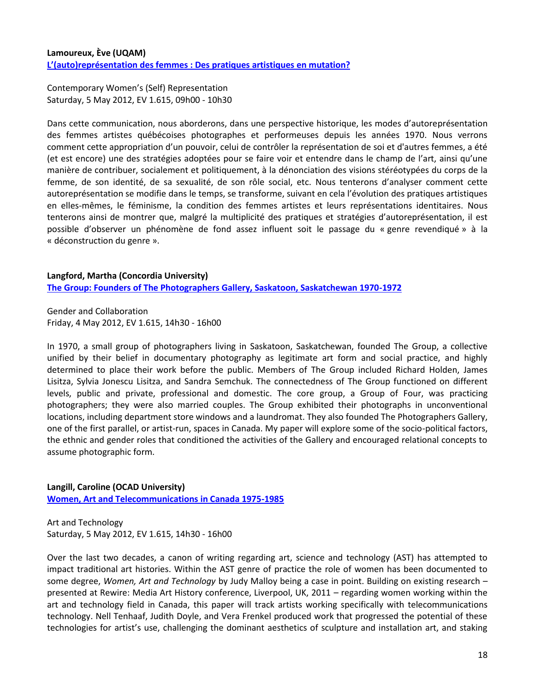## **Lamoureux, Ève (UQAM) L'(auto)représentation des femmes [: Des pratiques artistiques en mutation?](http://www.youtube.com/embed/FFaymeaAWsc)**

Contemporary Women's (Self) Representation Saturday, 5 May 2012, EV 1.615, 09h00 - 10h30

Dans cette communication, nous aborderons, dans une perspective historique, les modes d'autoreprésentation des femmes artistes québécoises photographes et performeuses depuis les années 1970. Nous verrons comment cette appropriation d'un pouvoir, celui de contrôler la représentation de soi et d'autres femmes, a été (et est encore) une des stratégies adoptées pour se faire voir et entendre dans le champ de l'art, ainsi qu'une manière de contribuer, socialement et politiquement, à la dénonciation des visions stéréotypées du corps de la femme, de son identité, de sa sexualité, de son rôle social, etc. Nous tenterons d'analyser comment cette autoreprésentation se modifie dans le temps, se transforme, suivant en cela l'évolution des pratiques artistiques en elles-mêmes, le féminisme, la condition des femmes artistes et leurs représentations identitaires. Nous tenterons ainsi de montrer que, malgré la multiplicité des pratiques et stratégies d'autoreprésentation, il est possible d'observer un phénomène de fond assez influent soit le passage du « genre revendiqué » à la « déconstruction du genre ».

## **Langford, Martha (Concordia University) [The Group: Founders of The Photographers Gallery, Saskatoon, Saskatchewan 1970-1972](http://www.youtube.com/embed/7G6j8e9VIn8)**

Gender and Collaboration Friday, 4 May 2012, EV 1.615, 14h30 - 16h00

In 1970, a small group of photographers living in Saskatoon, Saskatchewan, founded The Group, a collective unified by their belief in documentary photography as legitimate art form and social practice, and highly determined to place their work before the public. Members of The Group included Richard Holden, James Lisitza, Sylvia Jonescu Lisitza, and Sandra Semchuk. The connectedness of The Group functioned on different levels, public and private, professional and domestic. The core group, a Group of Four, was practicing photographers; they were also married couples. The Group exhibited their photographs in unconventional locations, including department store windows and a laundromat. They also founded The Photographers Gallery, one of the first parallel, or artist-run, spaces in Canada. My paper will explore some of the socio-political factors, the ethnic and gender roles that conditioned the activities of the Gallery and encouraged relational concepts to assume photographic form.

## **Langill, Caroline (OCAD University)**

**[Women, Art and Telecommunications in Canada 1975-1985](http://www.youtube.com/embed/nHXVHCBcLug)**

Art and Technology Saturday, 5 May 2012, EV 1.615, 14h30 - 16h00

Over the last two decades, a canon of writing regarding art, science and technology (AST) has attempted to impact traditional art histories. Within the AST genre of practice the role of women has been documented to some degree, *Women, Art and Technology* by Judy Malloy being a case in point. Building on existing research – presented at Rewire: Media Art History conference, Liverpool, UK, 2011 – regarding women working within the art and technology field in Canada, this paper will track artists working specifically with telecommunications technology. Nell Tenhaaf, Judith Doyle, and Vera Frenkel produced work that progressed the potential of these technologies for artist's use, challenging the dominant aesthetics of sculpture and installation art, and staking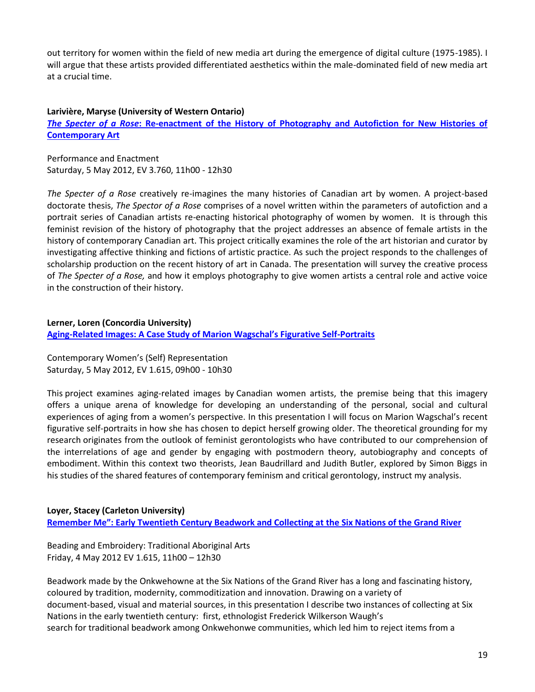out territory for women within the field of new media art during the emergence of digital culture (1975-1985). I will argue that these artists provided differentiated aesthetics within the male-dominated field of new media art at a crucial time.

#### **Larivière, Maryse (University of Western Ontario)**

*The Specter of a Rose***[: Re-enactment of the History of Photography and Autofiction for New Histories of](http://www.youtube.com/embed/5N48f8_UNUM)  [Contemporary Art](http://www.youtube.com/embed/5N48f8_UNUM)**

Performance and Enactment Saturday, 5 May 2012, EV 3.760, 11h00 - 12h30

*The Specter of a Rose* creatively re-imagines the many histories of Canadian art by women. A project-based doctorate thesis, *The Spector of a Rose* comprises of a novel written within the parameters of autofiction and a portrait series of Canadian artists re-enacting historical photography of women by women. It is through this feminist revision of the history of photography that the project addresses an absence of female artists in the history of contemporary Canadian art. This project critically examines the role of the art historian and curator by investigating affective thinking and fictions of artistic practice. As such the project responds to the challenges of scholarship production on the recent history of art in Canada. The presentation will survey the creative process of *The Specter of a Rose,* and how it employs photography to give women artists a central role and active voice in the construction of their history.

## **Lerner, Loren (Concordia University) Aging-[Related Images: A Case Study of Marion Wagschal's Figurative Self](http://www.youtube.com/embed/eLEr--pBdww)-Portraits**

Contemporary Women's (Self) Representation Saturday, 5 May 2012, EV 1.615, 09h00 - 10h30

This project examines aging-related images by Canadian women artists, the premise being that this imagery offers a unique arena of knowledge for developing an understanding of the personal, social and cultural experiences of aging from a women's perspective. In this presentation I will focus on Marion Wagschal's recent figurative self-portraits in how she has chosen to depict herself growing older. The theoretical grounding for my research originates from the outlook of feminist gerontologists who have contributed to our comprehension of the interrelations of age and gender by engaging with postmodern theory, autobiography and concepts of embodiment. Within this context two theorists, Jean Baudrillard and Judith Butler, explored by Simon Biggs in his studies of the shared features of contemporary feminism and critical gerontology, instruct my analysis.

## **Loyer, Stacey (Carleton University)**

**[Remember Me": Early Twentieth Century Beadwork and Collecting at](http://www.youtube.com/embed/9MLDMCK1bK8) the Six Nations of the Grand River**

Beading and Embroidery: Traditional Aboriginal Arts Friday, 4 May 2012 EV 1.615, 11h00 – 12h30

Beadwork made by the Onkwehowne at the Six Nations of the Grand River has a long and fascinating history, coloured by tradition, modernity, commoditization and innovation. Drawing on a variety of document-based, visual and material sources, in this presentation I describe two instances of collecting at Six Nations in the early twentieth century: first, ethnologist Frederick Wilkerson Waugh's search for traditional beadwork among Onkwehonwe communities, which led him to reject items from a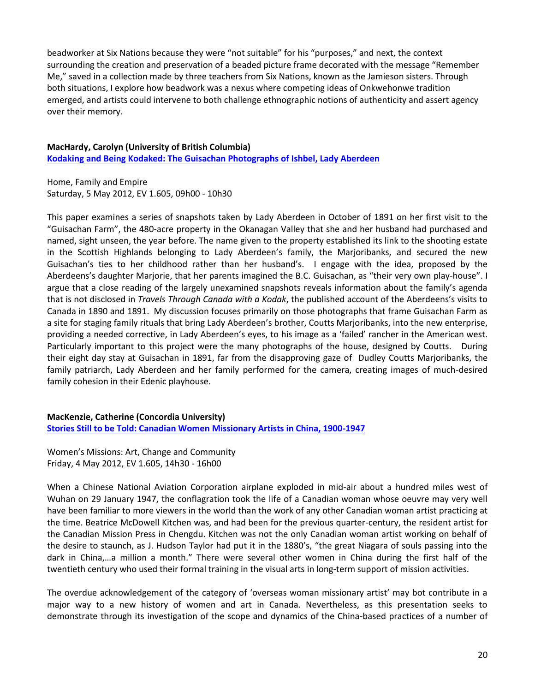beadworker at Six Nations because they were "not suitable" for his "purposes," and next, the context surrounding the creation and preservation of a beaded picture frame decorated with the message "Remember Me," saved in a collection made by three teachers from Six Nations, known as the Jamieson sisters. Through both situations, I explore how beadwork was a nexus where competing ideas of Onkwehonwe tradition emerged, and artists could intervene to both challenge ethnographic notions of authenticity and assert agency over their memory.

#### **MacHardy, Carolyn (University of British Columbia)**

**[Kodaking and Being Kodaked: The Guisachan Photographs of Ishbel, Lady Aberdeen](http://www.youtube.com/embed/STT4Xl_CwnM)**

Home, Family and Empire Saturday, 5 May 2012, EV 1.605, 09h00 - 10h30

This paper examines a series of snapshots taken by Lady Aberdeen in October of 1891 on her first visit to the "Guisachan Farm", the 480-acre property in the Okanagan Valley that she and her husband had purchased and named, sight unseen, the year before. The name given to the property established its link to the shooting estate in the Scottish Highlands belonging to Lady Aberdeen's family, the Marjoribanks, and secured the new Guisachan's ties to her childhood rather than her husband's. I engage with the idea, proposed by the Aberdeens's daughter Marjorie, that her parents imagined the B.C. Guisachan, as "their very own play-house". I argue that a close reading of the largely unexamined snapshots reveals information about the family's agenda that is not disclosed in *Travels Through Canada with a Kodak*, the published account of the Aberdeens's visits to Canada in 1890 and 1891. My discussion focuses primarily on those photographs that frame Guisachan Farm as a site for staging family rituals that bring Lady Aberdeen's brother, Coutts Marjoribanks, into the new enterprise, providing a needed corrective, in Lady Aberdeen's eyes, to his image as a 'failed' rancher in the American west. Particularly important to this project were the many photographs of the house, designed by Coutts. During their eight day stay at Guisachan in 1891, far from the disapproving gaze of Dudley Coutts Marjoribanks, the family patriarch, Lady Aberdeen and her family performed for the camera, creating images of much-desired family cohesion in their Edenic playhouse.

**MacKenzie, Catherine (Concordia University) [Stories Still to be Told: Canadian Women Missionary Artists in China, 1900-1947](http://www.youtube.com/embed/gxj6mbgDj4k)**

Women's Missions: Art, Change and Community Friday, 4 May 2012, EV 1.605, 14h30 - 16h00

When a Chinese National Aviation Corporation airplane exploded in mid-air about a hundred miles west of Wuhan on 29 January 1947, the conflagration took the life of a Canadian woman whose oeuvre may very well have been familiar to more viewers in the world than the work of any other Canadian woman artist practicing at the time. Beatrice McDowell Kitchen was, and had been for the previous quarter-century, the resident artist for the Canadian Mission Press in Chengdu. Kitchen was not the only Canadian woman artist working on behalf of the desire to staunch, as J. Hudson Taylor had put it in the 1880's, "the great Niagara of souls passing into the dark in China,…a million a month." There were several other women in China during the first half of the twentieth century who used their formal training in the visual arts in long-term support of mission activities.

The overdue acknowledgement of the category of 'overseas woman missionary artist' may bot contribute in a major way to a new history of women and art in Canada. Nevertheless, as this presentation seeks to demonstrate through its investigation of the scope and dynamics of the China-based practices of a number of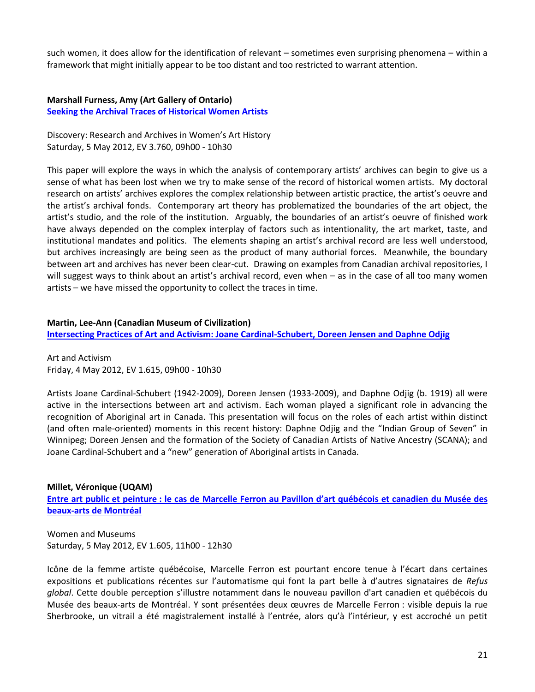such women, it does allow for the identification of relevant – sometimes even surprising phenomena – within a framework that might initially appear to be too distant and too restricted to warrant attention.

**Marshall Furness, Amy (Art Gallery of Ontario) [Seeking the Archival Traces of Historical Women Artists](http://www.youtube.com/embed/Wn3mn9wCiiI)**

Discovery: Research and Archives in Women's Art History Saturday, 5 May 2012, EV 3.760, 09h00 - 10h30

This paper will explore the ways in which the analysis of contemporary artists' archives can begin to give us a sense of what has been lost when we try to make sense of the record of historical women artists. My doctoral research on artists' archives explores the complex relationship between artistic practice, the artist's oeuvre and the artist's archival fonds. Contemporary art theory has problematized the boundaries of the art object, the artist's studio, and the role of the institution. Arguably, the boundaries of an artist's oeuvre of finished work have always depended on the complex interplay of factors such as intentionality, the art market, taste, and institutional mandates and politics. The elements shaping an artist's archival record are less well understood, but archives increasingly are being seen as the product of many authorial forces. Meanwhile, the boundary between art and archives has never been clear‐cut. Drawing on examples from Canadian archival repositories, I will suggest ways to think about an artist's archival record, even when – as in the case of all too many women artists – we have missed the opportunity to collect the traces in time.

#### **Martin, Lee-Ann (Canadian Museum of Civilization)**

**[Intersecting Practices of Art and Activism: Joane Cardinal-Schubert, Doreen Jensen and Daphne Odjig](http://www.youtube.com/embed/7WUhLzyltyQ)**

Art and Activism Friday, 4 May 2012, EV 1.615, 09h00 - 10h30

Artists Joane Cardinal-Schubert (1942-2009), Doreen Jensen (1933-2009), and Daphne Odjig (b. 1919) all were active in the intersections between art and activism. Each woman played a significant role in advancing the recognition of Aboriginal art in Canada. This presentation will focus on the roles of each artist within distinct (and often male-oriented) moments in this recent history: Daphne Odjig and the "Indian Group of Seven" in Winnipeg; Doreen Jensen and the formation of the Society of Canadian Artists of Native Ancestry (SCANA); and Joane Cardinal-Schubert and a "new" generation of Aboriginal artists in Canada.

#### **Millet, Véronique (UQAM)**

**Entre art public et peinture [: le cas de Marcelle Ferron au Pavillon d'art québécois et canadien](http://www.youtube.com/embed/qzHSCQiyHuU) du Musée des [beaux-arts de Montréal](http://www.youtube.com/embed/qzHSCQiyHuU)**

Women and Museums Saturday, 5 May 2012, EV 1.605, 11h00 - 12h30

Icône de la femme artiste québécoise, Marcelle Ferron est pourtant encore tenue à l'écart dans certaines expositions et publications récentes sur l'automatisme qui font la part belle à d'autres signataires de *Refus global*. Cette double perception s'illustre notamment dans le nouveau pavillon d'art canadien et québécois du Musée des beaux-arts de Montréal. Y sont présentées deux œuvres de Marcelle Ferron : visible depuis la rue Sherbrooke, un vitrail a été magistralement installé à l'entrée, alors qu'à l'intérieur, y est accroché un petit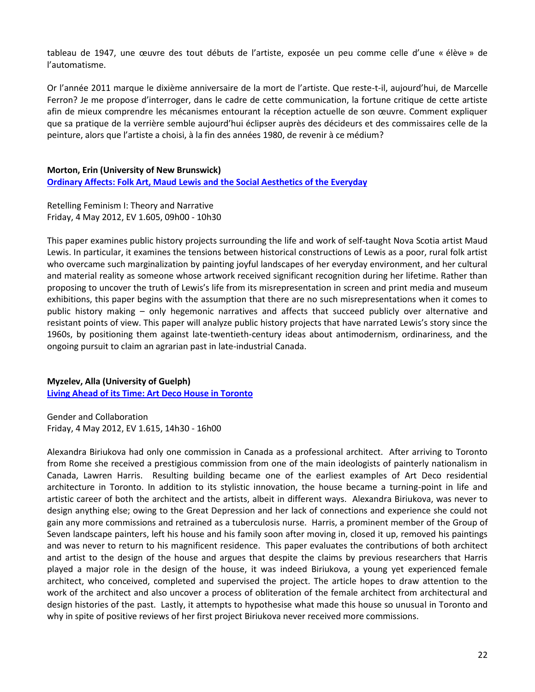tableau de 1947, une œuvre des tout débuts de l'artiste, exposée un peu comme celle d'une « élève » de l'automatisme.

Or l'année 2011 marque le dixième anniversaire de la mort de l'artiste. Que reste-t-il, aujourd'hui, de Marcelle Ferron? Je me propose d'interroger, dans le cadre de cette communication, la fortune critique de cette artiste afin de mieux comprendre les mécanismes entourant la réception actuelle de son œuvre. Comment expliquer que sa pratique de la verrière semble aujourd'hui éclipser auprès des décideurs et des commissaires celle de la peinture, alors que l'artiste a choisi, à la fin des années 1980, de revenir à ce médium?

## **Morton, Erin (University of New Brunswick)**

**[Ordinary Affects: Folk Art, Maud Lewis and the Social Aesthetics of the Everyday](http://www.youtube.com/embed/qnN2YgtlwDA)**

Retelling Feminism I: Theory and Narrative Friday, 4 May 2012, EV 1.605, 09h00 - 10h30

This paper examines public history projects surrounding the life and work of self-taught Nova Scotia artist Maud Lewis. In particular, it examines the tensions between historical constructions of Lewis as a poor, rural folk artist who overcame such marginalization by painting joyful landscapes of her everyday environment, and her cultural and material reality as someone whose artwork received significant recognition during her lifetime. Rather than proposing to uncover the truth of Lewis's life from its misrepresentation in screen and print media and museum exhibitions, this paper begins with the assumption that there are no such misrepresentations when it comes to public history making – only hegemonic narratives and affects that succeed publicly over alternative and resistant points of view. This paper will analyze public history projects that have narrated Lewis's story since the 1960s, by positioning them against late-twentieth-century ideas about antimodernism, ordinariness, and the ongoing pursuit to claim an agrarian past in late-industrial Canada.

## **Myzelev, Alla (University of Guelph)**

**[Living Ahead of its Time: Art Deco House in Toronto](http://www.youtube.com/embed/O6Hy7I2N7B0)**

Gender and Collaboration Friday, 4 May 2012, EV 1.615, 14h30 - 16h00

Alexandra Biriukova had only one commission in Canada as a professional architect. After arriving to Toronto from Rome she received a prestigious commission from one of the main ideologists of painterly nationalism in Canada, Lawren Harris. Resulting building became one of the earliest examples of Art Deco residential architecture in Toronto. In addition to its stylistic innovation, the house became a turning-point in life and artistic career of both the architect and the artists, albeit in different ways. Alexandra Biriukova, was never to design anything else; owing to the Great Depression and her lack of connections and experience she could not gain any more commissions and retrained as a tuberculosis nurse. Harris, a prominent member of the Group of Seven landscape painters, left his house and his family soon after moving in, closed it up, removed his paintings and was never to return to his magnificent residence. This paper evaluates the contributions of both architect and artist to the design of the house and argues that despite the claims by previous researchers that Harris played a major role in the design of the house, it was indeed Biriukova, a young yet experienced female architect, who conceived, completed and supervised the project. The article hopes to draw attention to the work of the architect and also uncover a process of obliteration of the female architect from architectural and design histories of the past. Lastly, it attempts to hypothesise what made this house so unusual in Toronto and why in spite of positive reviews of her first project Biriukova never received more commissions.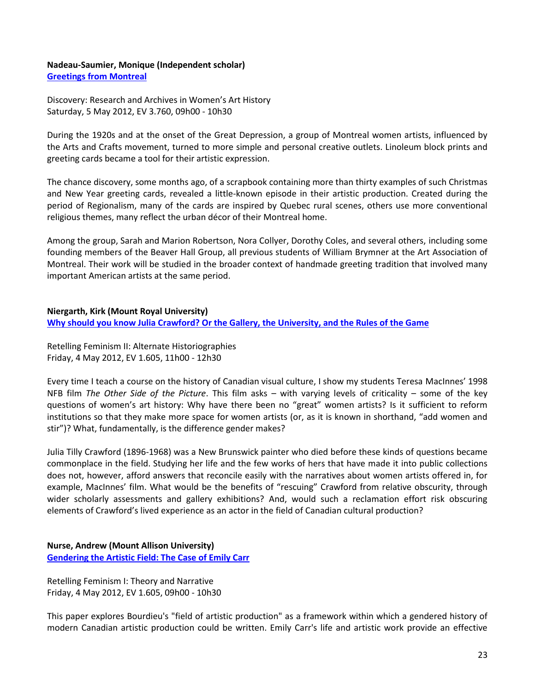#### **Nadeau-Saumier, Monique (Independent scholar) [Greetings from Montreal](http://www.youtube.com/embed/CKqF5ySOz34)**

Discovery: Research and Archives in Women's Art History Saturday, 5 May 2012, EV 3.760, 09h00 - 10h30

During the 1920s and at the onset of the Great Depression, a group of Montreal women artists, influenced by the Arts and Crafts movement, turned to more simple and personal creative outlets. Linoleum block prints and greeting cards became a tool for their artistic expression.

The chance discovery, some months ago, of a scrapbook containing more than thirty examples of such Christmas and New Year greeting cards, revealed a little-known episode in their artistic production. Created during the period of Regionalism, many of the cards are inspired by Quebec rural scenes, others use more conventional religious themes, many reflect the urban décor of their Montreal home.

Among the group, Sarah and Marion Robertson, Nora Collyer, Dorothy Coles, and several others, including some founding members of the Beaver Hall Group, all previous students of William Brymner at the Art Association of Montreal. Their work will be studied in the broader context of handmade greeting tradition that involved many important American artists at the same period.

## **Niergarth, Kirk (Mount Royal University)**

**[Why should you know Julia Crawford? Or the Gallery, the University, and the Rules of the Game](http://www.youtube.com/embed/tNnBfbvulII)**

Retelling Feminism II: Alternate Historiographies Friday, 4 May 2012, EV 1.605, 11h00 - 12h30

Every time I teach a course on the history of Canadian visual culture, I show my students Teresa MacInnes' 1998 NFB film *The Other Side of the Picture*. This film asks – with varying levels of criticality – some of the key questions of women's art history: Why have there been no "great" women artists? Is it sufficient to reform institutions so that they make more space for women artists (or, as it is known in shorthand, "add women and stir")? What, fundamentally, is the difference gender makes?

Julia Tilly Crawford (1896-1968) was a New Brunswick painter who died before these kinds of questions became commonplace in the field. Studying her life and the few works of hers that have made it into public collections does not, however, afford answers that reconcile easily with the narratives about women artists offered in, for example, MacInnes' film. What would be the benefits of "rescuing" Crawford from relative obscurity, through wider scholarly assessments and gallery exhibitions? And, would such a reclamation effort risk obscuring elements of Crawford's lived experience as an actor in the field of Canadian cultural production?

**Nurse, Andrew (Mount Allison University) [Gendering the Artistic Field: The Case of Emily Carr](http://www.youtube.com/embed/2XatiLMYxKY)**

Retelling Feminism I: Theory and Narrative Friday, 4 May 2012, EV 1.605, 09h00 - 10h30

This paper explores Bourdieu's "field of artistic production" as a framework within which a gendered history of modern Canadian artistic production could be written. Emily Carr's life and artistic work provide an effective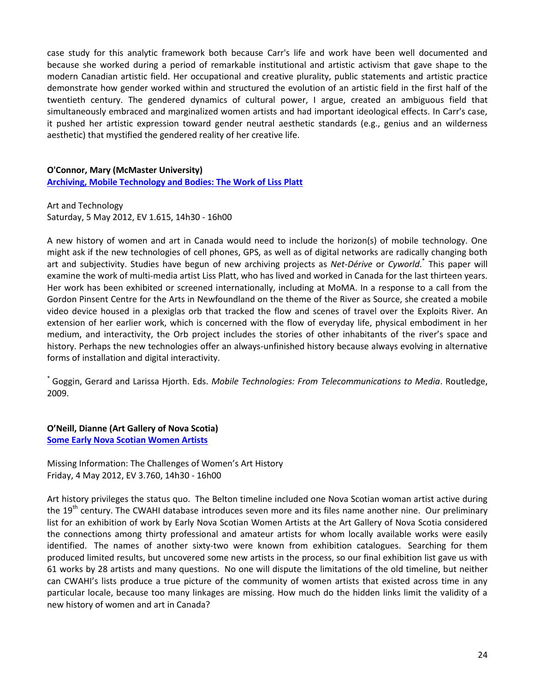case study for this analytic framework both because Carr's life and work have been well documented and because she worked during a period of remarkable institutional and artistic activism that gave shape to the modern Canadian artistic field. Her occupational and creative plurality, public statements and artistic practice demonstrate how gender worked within and structured the evolution of an artistic field in the first half of the twentieth century. The gendered dynamics of cultural power, I argue, created an ambiguous field that simultaneously embraced and marginalized women artists and had important ideological effects. In Carr's case, it pushed her artistic expression toward gender neutral aesthetic standards (e.g., genius and an wilderness aesthetic) that mystified the gendered reality of her creative life.

## **O'Connor, Mary (McMaster University)**

**[Archiving, Mobile Technology and Bodies: The Work of Liss Platt](http://www.youtube.com/embed/HhFEOQCAtb4)**

Art and Technology Saturday, 5 May 2012, EV 1.615, 14h30 - 16h00

A new history of women and art in Canada would need to include the horizon(s) of mobile technology. One might ask if the new technologies of cell phones, GPS, as well as of digital networks are radically changing both art and subjectivity. Studies have begun of new archiving projects as *Net-Dérive* or *Cyworld*. \* This paper will examine the work of multi-media artist Liss Platt, who has lived and worked in Canada for the last thirteen years. Her work has been exhibited or screened internationally, including at MoMA. In a response to a call from the Gordon Pinsent Centre for the Arts in Newfoundland on the theme of the River as Source, she created a mobile video device housed in a plexiglas orb that tracked the flow and scenes of travel over the Exploits River. An extension of her earlier work, which is concerned with the flow of everyday life, physical embodiment in her medium, and interactivity, the Orb project includes the stories of other inhabitants of the river's space and history. Perhaps the new technologies offer an always-unfinished history because always evolving in alternative forms of installation and digital interactivity.

\* Goggin, Gerard and Larissa Hjorth. Eds. *Mobile Technologies: From Telecommunications to Media*. Routledge, 2009.

**O'Neill, Dianne (Art Gallery of Nova Scotia)**

**[Some Early Nova Scotian Women Artists](http://www.youtube.com/embed/6cHlrlY_uro)**

Missing Information: The Challenges of Women's Art History Friday, 4 May 2012, EV 3.760, 14h30 - 16h00

Art history privileges the status quo. The Belton timeline included one Nova Scotian woman artist active during the 19<sup>th</sup> century. The CWAHI database introduces seven more and its files name another nine. Our preliminary list for an exhibition of work by Early Nova Scotian Women Artists at the Art Gallery of Nova Scotia considered the connections among thirty professional and amateur artists for whom locally available works were easily identified. The names of another sixty-two were known from exhibition catalogues. Searching for them produced limited results, but uncovered some new artists in the process, so our final exhibition list gave us with 61 works by 28 artists and many questions. No one will dispute the limitations of the old timeline, but neither can CWAHI's lists produce a true picture of the community of women artists that existed across time in any particular locale, because too many linkages are missing. How much do the hidden links limit the validity of a new history of women and art in Canada?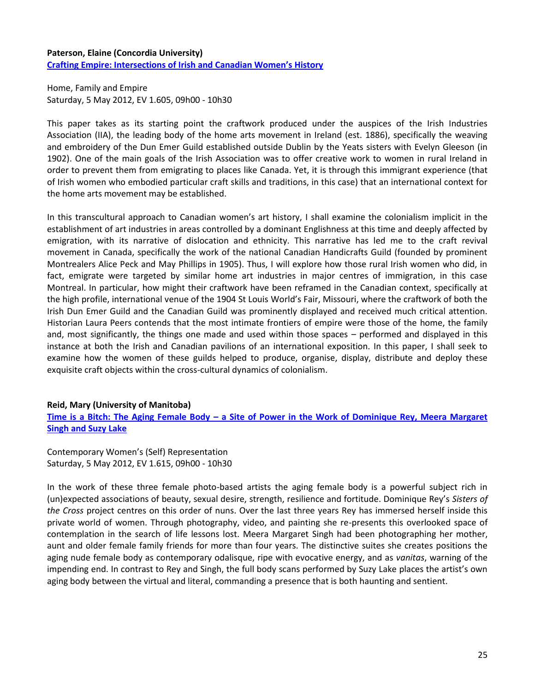## **Paterson, Elaine (Concordia University) [Crafting Empire: Intersections of Irish and Canadian Women's History](http://www.youtube.com/embed/D6zKvOSKPU8)**

Home, Family and Empire Saturday, 5 May 2012, EV 1.605, 09h00 - 10h30

This paper takes as its starting point the craftwork produced under the auspices of the Irish Industries Association (IIA), the leading body of the home arts movement in Ireland (est. 1886), specifically the weaving and embroidery of the Dun Emer Guild established outside Dublin by the Yeats sisters with Evelyn Gleeson (in 1902). One of the main goals of the Irish Association was to offer creative work to women in rural Ireland in order to prevent them from emigrating to places like Canada. Yet, it is through this immigrant experience (that of Irish women who embodied particular craft skills and traditions, in this case) that an international context for the home arts movement may be established.

In this transcultural approach to Canadian women's art history, I shall examine the colonialism implicit in the establishment of art industries in areas controlled by a dominant Englishness at this time and deeply affected by emigration, with its narrative of dislocation and ethnicity. This narrative has led me to the craft revival movement in Canada, specifically the work of the national Canadian Handicrafts Guild (founded by prominent Montrealers Alice Peck and May Phillips in 1905). Thus, I will explore how those rural Irish women who did, in fact, emigrate were targeted by similar home art industries in major centres of immigration, in this case Montreal. In particular, how might their craftwork have been reframed in the Canadian context, specifically at the high profile, international venue of the 1904 St Louis World's Fair, Missouri, where the craftwork of both the Irish Dun Emer Guild and the Canadian Guild was prominently displayed and received much critical attention. Historian Laura Peers contends that the most intimate frontiers of empire were those of the home, the family and, most significantly, the things one made and used within those spaces – performed and displayed in this instance at both the Irish and Canadian pavilions of an international exposition. In this paper, I shall seek to examine how the women of these guilds helped to produce, organise, display, distribute and deploy these exquisite craft objects within the cross-cultural dynamics of colonialism.

## **Reid, Mary (University of Manitoba)**

**Time is a Bitch: The Aging Female Body – [a Site of Power in the Work of Dominique Rey, Meera Margaret](http://www.youtube.com/embed/fL6QOWq95M8)  [Singh and Suzy Lake](http://www.youtube.com/embed/fL6QOWq95M8)**

Contemporary Women's (Self) Representation Saturday, 5 May 2012, EV 1.615, 09h00 - 10h30

In the work of these three female photo-based artists the aging female body is a powerful subject rich in (un)expected associations of beauty, sexual desire, strength, resilience and fortitude. Dominique Rey's *Sisters of the Cross* project centres on this order of nuns. Over the last three years Rey has immersed herself inside this private world of women. Through photography, video, and painting she re-presents this overlooked space of contemplation in the search of life lessons lost. Meera Margaret Singh had been photographing her mother, aunt and older female family friends for more than four years. The distinctive suites she creates positions the aging nude female body as contemporary odalisque, ripe with evocative energy, and as *vanitas*, warning of the impending end. In contrast to Rey and Singh, the full body scans performed by Suzy Lake places the artist's own aging body between the virtual and literal, commanding a presence that is both haunting and sentient.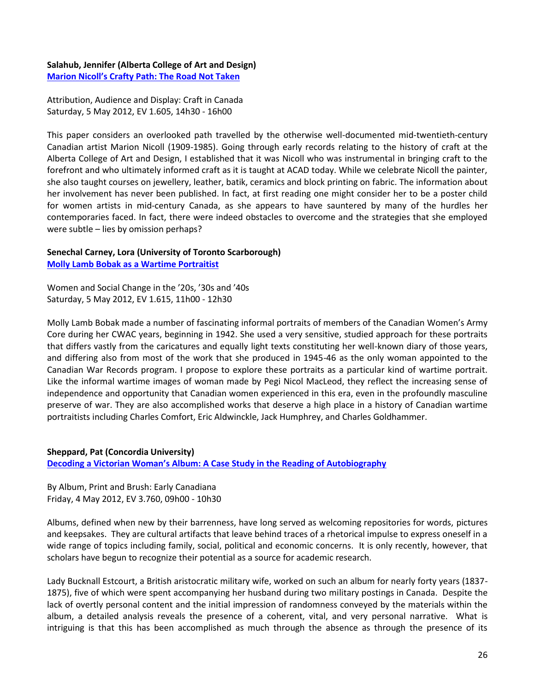**Salahub, Jennifer (Alberta College of Art and Design) Marion Nicoll['s Crafty Path: The Road Not Taken](http://www.youtube.com/embed/nqHWeH1RI00)**

Attribution, Audience and Display: Craft in Canada Saturday, 5 May 2012, EV 1.605, 14h30 - 16h00

This paper considers an overlooked path travelled by the otherwise well-documented mid-twentieth-century Canadian artist Marion Nicoll (1909-1985). Going through early records relating to the history of craft at the Alberta College of Art and Design, I established that it was Nicoll who was instrumental in bringing craft to the forefront and who ultimately informed craft as it is taught at ACAD today. While we celebrate Nicoll the painter, she also taught courses on jewellery, leather, batik, ceramics and block printing on fabric. The information about her involvement has never been published. In fact, at first reading one might consider her to be a poster child for women artists in mid-century Canada, as she appears to have sauntered by many of the hurdles her contemporaries faced. In fact, there were indeed obstacles to overcome and the strategies that she employed were subtle – lies by omission perhaps?

## **Senechal Carney, Lora (University of Toronto Scarborough) [Molly Lamb Bobak as a Wartime Portraitist](http://www.youtube.com/embed/BnCQ0BY-RfM)**

Women and Social Change in the '20s, '30s and '40s Saturday, 5 May 2012, EV 1.615, 11h00 - 12h30

Molly Lamb Bobak made a number of fascinating informal portraits of members of the Canadian Women's Army Core during her CWAC years, beginning in 1942. She used a very sensitive, studied approach for these portraits that differs vastly from the caricatures and equally light texts constituting her well-known diary of those years, and differing also from most of the work that she produced in 1945-46 as the only woman appointed to the Canadian War Records program. I propose to explore these portraits as a particular kind of wartime portrait. Like the informal wartime images of woman made by Pegi Nicol MacLeod, they reflect the increasing sense of independence and opportunity that Canadian women experienced in this era, even in the profoundly masculine preserve of war. They are also accomplished works that deserve a high place in a history of Canadian wartime portraitists including Charles Comfort, Eric Aldwinckle, Jack Humphrey, and Charles Goldhammer.

## **Sheppard, Pat (Concordia University) Decoding a Victorian [Woman's Album: A Case Study in the Reading of Autobiography](http://www.youtube.com/embed/UH0Z3oU2WQ8)**

By Album, Print and Brush: Early Canadiana Friday, 4 May 2012, EV 3.760, 09h00 - 10h30

Albums, defined when new by their barrenness, have long served as welcoming repositories for words, pictures and keepsakes. They are cultural artifacts that leave behind traces of a rhetorical impulse to express oneself in a wide range of topics including family, social, political and economic concerns. It is only recently, however, that scholars have begun to recognize their potential as a source for academic research.

Lady Bucknall Estcourt, a British aristocratic military wife, worked on such an album for nearly forty years (1837- 1875), five of which were spent accompanying her husband during two military postings in Canada. Despite the lack of overtly personal content and the initial impression of randomness conveyed by the materials within the album, a detailed analysis reveals the presence of a coherent, vital, and very personal narrative. What is intriguing is that this has been accomplished as much through the absence as through the presence of its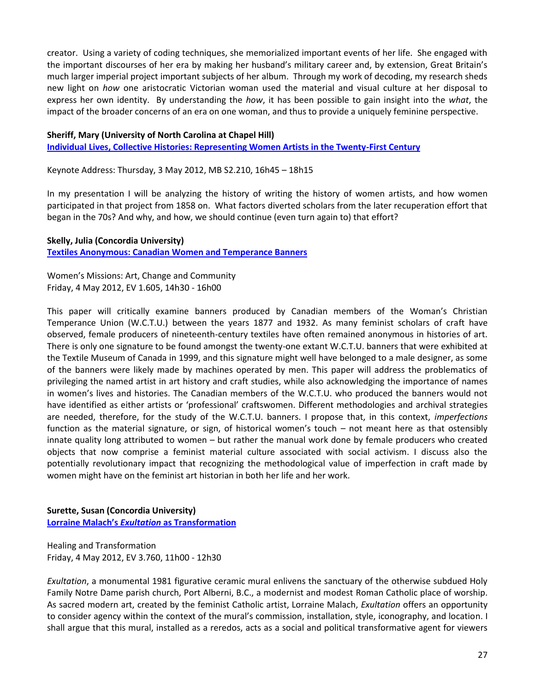creator. Using a variety of coding techniques, she memorialized important events of her life. She engaged with the important discourses of her era by making her husband's military career and, by extension, Great Britain's much larger imperial project important subjects of her album. Through my work of decoding, my research sheds new light on *how* one aristocratic Victorian woman used the material and visual culture at her disposal to express her own identity. By understanding the *how*, it has been possible to gain insight into the *what*, the impact of the broader concerns of an era on one woman, and thus to provide a uniquely feminine perspective.

#### **Sheriff, Mary (University of North Carolina at Chapel Hill)**

**[Individual Lives, Collective Histories: Representing Women Artists in the Twenty-First Century](http://www.youtube.com/embed/M3iLQaPeZ2c)**

Keynote Address: Thursday, 3 May 2012, MB S2.210, 16h45 – 18h15

In my presentation I will be analyzing the history of writing the history of women artists, and how women participated in that project from 1858 on. What factors diverted scholars from the later recuperation effort that began in the 70s? And why, and how, we should continue (even turn again to) that effort?

## **Skelly, Julia (Concordia University)**

**[Textiles Anonymous: Canadian Women and Temperance Banners](http://www.youtube.com/embed/SqrkILRVIvM)**

Women's Missions: Art, Change and Community Friday, 4 May 2012, EV 1.605, 14h30 - 16h00

This paper will critically examine banners produced by Canadian members of the Woman's Christian Temperance Union (W.C.T.U.) between the years 1877 and 1932. As many feminist scholars of craft have observed, female producers of nineteenth-century textiles have often remained anonymous in histories of art. There is only one signature to be found amongst the twenty-one extant W.C.T.U. banners that were exhibited at the Textile Museum of Canada in 1999, and this signature might well have belonged to a male designer, as some of the banners were likely made by machines operated by men. This paper will address the problematics of privileging the named artist in art history and craft studies, while also acknowledging the importance of names in women's lives and histories. The Canadian members of the W.C.T.U. who produced the banners would not have identified as either artists or 'professional' craftswomen. Different methodologies and archival strategies are needed, therefore, for the study of the W.C.T.U. banners. I propose that, in this context, *imperfections* function as the material signature, or sign, of historical women's touch – not meant here as that ostensibly innate quality long attributed to women – but rather the manual work done by female producers who created objects that now comprise a feminist material culture associated with social activism. I discuss also the potentially revolutionary impact that recognizing the methodological value of imperfection in craft made by women might have on the feminist art historian in both her life and her work.

**Surette, Susan (Concordia University) Lorraine Malach's** *Exultation* **[as Transformation](http://www.youtube.com/embed/Ypd_gHoke3M)**

Healing and Transformation Friday, 4 May 2012, EV 3.760, 11h00 - 12h30

*Exultation*, a monumental 1981 figurative ceramic mural enlivens the sanctuary of the otherwise subdued Holy Family Notre Dame parish church, Port Alberni, B.C., a modernist and modest Roman Catholic place of worship. As sacred modern art, created by the feminist Catholic artist, Lorraine Malach, *Exultation* offers an opportunity to consider agency within the context of the mural's commission, installation, style, iconography, and location. I shall argue that this mural, installed as a reredos, acts as a social and political transformative agent for viewers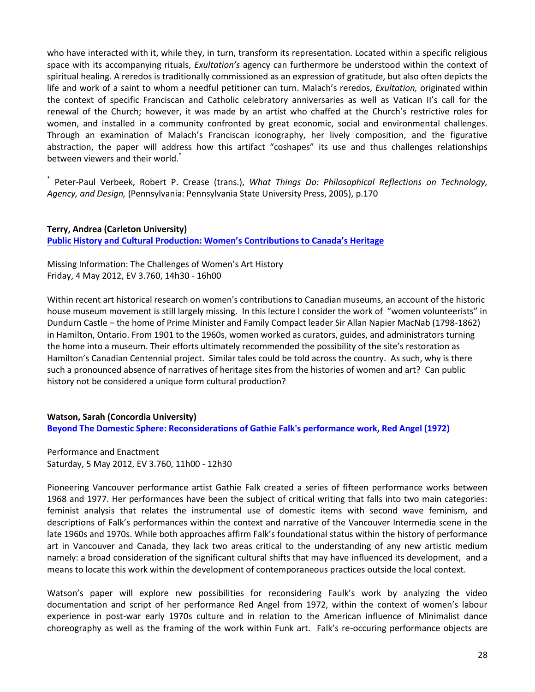who have interacted with it, while they, in turn, transform its representation. Located within a specific religious space with its accompanying rituals, *Exultation's* agency can furthermore be understood within the context of spiritual healing. A reredos is traditionally commissioned as an expression of gratitude, but also often depicts the life and work of a saint to whom a needful petitioner can turn. Malach's reredos, *Exultation,* originated within the context of specific Franciscan and Catholic celebratory anniversaries as well as Vatican II's call for the renewal of the Church; however, it was made by an artist who chaffed at the Church's restrictive roles for women, and installed in a community confronted by great economic, social and environmental challenges. Through an examination of Malach's Franciscan iconography, her lively composition, and the figurative abstraction, the paper will address how this artifact "coshapes" its use and thus challenges relationships between viewers and their world.<sup>\*</sup>

\* Peter-Paul Verbeek, Robert P. Crease (trans.), *What Things Do: Philosophical Reflections on Technology, Agency, and Design,* (Pennsylvania: Pennsylvania State University Press, 2005), p.170

**Terry, Andrea (Carleton University) [Public History and Cultural Production: Women's Contributions to Canada's Heritage](http://www.youtube.com/embed/FsG-afC4RFQ)**

Missing Information: The Challenges of Women's Art History Friday, 4 May 2012, EV 3.760, 14h30 - 16h00

Within recent art historical research on women's contributions to Canadian museums, an account of the historic house museum movement is still largely missing. In this lecture I consider the work of "women volunteerists" in Dundurn Castle – the home of Prime Minister and Family Compact leader Sir Allan Napier MacNab (1798-1862) in Hamilton, Ontario. From 1901 to the 1960s, women worked as curators, guides, and administrators turning the home into a museum. Their efforts ultimately recommended the possibility of the site's restoration as Hamilton's Canadian Centennial project. Similar tales could be told across the country. As such, why is there such a pronounced absence of narratives of heritage sites from the histories of women and art? Can public history not be considered a unique form cultural production?

**Watson, Sarah (Concordia University) [Beyond The Domestic Sphere: Reconsiderations of Gathie Falk's performance work, Red Angel \(1972\)](http://www.youtube.com/embed/CRwnnG9MuLQ)**

Performance and Enactment Saturday, 5 May 2012, EV 3.760, 11h00 - 12h30

Pioneering Vancouver performance artist Gathie Falk created a series of fifteen performance works between 1968 and 1977. Her performances have been the subject of critical writing that falls into two main categories: feminist analysis that relates the instrumental use of domestic items with second wave feminism, and descriptions of Falk's performances within the context and narrative of the Vancouver Intermedia scene in the late 1960s and 1970s. While both approaches affirm Falk's foundational status within the history of performance art in Vancouver and Canada, they lack two areas critical to the understanding of any new artistic medium namely: a broad consideration of the significant cultural shifts that may have influenced its development, and a means to locate this work within the development of contemporaneous practices outside the local context.

Watson's paper will explore new possibilities for reconsidering Faulk's work by analyzing the video documentation and script of her performance Red Angel from 1972, within the context of women's labour experience in post-war early 1970s culture and in relation to the American influence of Minimalist dance choreography as well as the framing of the work within Funk art. Falk's re-occuring performance objects are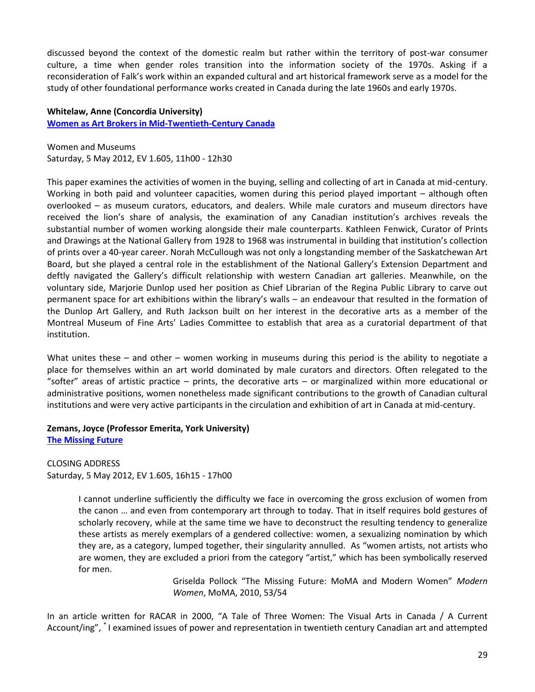discussed beyond the context of the domestic realm but rather within the territory of post-war consumer culture, a time when gender roles transition into the information society of the 1970s. Asking if a reconsideration of Falk's work within an expanded cultural and art historical framework serve as a model for the study of other foundational performance works created in Canada during the late 1960s and early 1970s.

#### **Whitelaw, Anne (Concordia University)**

**[Women as Art Brokers in Mid-Twentieth-Century Canada](http://www.youtube.com/embed/YXPYIuLqUFU)**

Women and Museums Saturday, 5 May 2012, EV 1.605, 11h00 - 12h30

This paper examines the activities of women in the buying, selling and collecting of art in Canada at mid-century. Working in both paid and volunteer capacities, women during this period played important – although often overlooked – as museum curators, educators, and dealers. While male curators and museum directors have received the lion's share of analysis, the examination of any Canadian institution's archives reveals the substantial number of women working alongside their male counterparts. Kathleen Fenwick, Curator of Prints and Drawings at the National Gallery from 1928 to 1968 was instrumental in building that institution's collection of prints over a 40-year career. Norah McCullough was not only a longstanding member of the Saskatchewan Art Board, but she played a central role in the establishment of the National Gallery's Extension Department and deftly navigated the Gallery's difficult relationship with western Canadian art galleries. Meanwhile, on the voluntary side, Marjorie Dunlop used her position as Chief Librarian of the Regina Public Library to carve out permanent space for art exhibitions within the library's walls – an endeavour that resulted in the formation of the Dunlop Art Gallery, and Ruth Jackson built on her interest in the decorative arts as a member of the Montreal Museum of Fine Arts' Ladies Committee to establish that area as a curatorial department of that institution.

What unites these – and other – women working in museums during this period is the ability to negotiate a place for themselves within an art world dominated by male curators and directors. Often relegated to the "softer" areas of artistic practice – prints, the decorative arts – or marginalized within more educational or administrative positions, women nonetheless made significant contributions to the growth of Canadian cultural institutions and were very active participants in the circulation and exhibition of art in Canada at mid-century.

#### **Zemans, Joyce (Professor Emerita, York University) [The Missing Future](http://www.youtube.com/embed/4Q75fcDrlgk)**

CLOSING ADDRESS Saturday, 5 May 2012, EV 1.605, 16h15 - 17h00

> I cannot underline sufficiently the difficulty we face in overcoming the gross exclusion of women from the canon … and even from contemporary art through to today. That in itself requires bold gestures of scholarly recovery, while at the same time we have to deconstruct the resulting tendency to generalize these artists as merely exemplars of a gendered collective: women, a sexualizing nomination by which they are, as a category, lumped together, their singularity annulled. As "women artists, not artists who are women, they are excluded a priori from the category "artist," which has been symbolically reserved for men.

> > Griselda Pollock "The Missing Future: MoMA and Modern Women" *Modern Women*, MoMA, 2010, 53/54

In an article written for RACAR in 2000, "A Tale of Three Women: The Visual Arts in Canada / A Current Account/ing", \* I examined issues of power and representation in twentieth century Canadian art and attempted